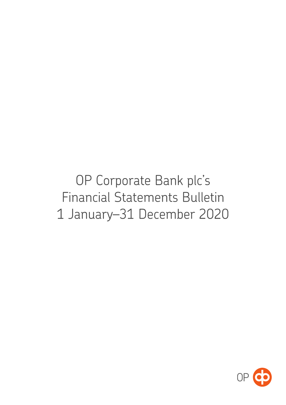OP Corporate Bank plc's **Financial Statements Bulletin** 1 January-31 December 2020

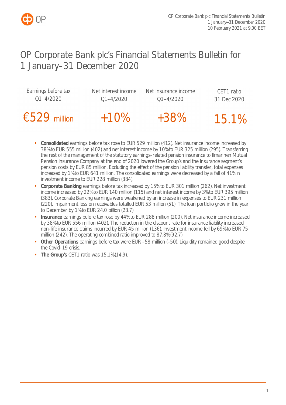

# OP Corporate Bank plc's Financial Statements Bulletin for 1 January–31 December 2020

| Earnings before tax | Net interest income | Net insurance income | CET1 ratio  |
|---------------------|---------------------|----------------------|-------------|
| $01 - 4/2020$       | $Q1 - 4/2020$       | $Q1 - 4/2020$        | 31 Dec 2020 |
| $£529$ million      | $+10%$              | $+38%$               | 15.1%       |

- **Consolidated** earnings before tax rose to EUR 529 million (412). Net insurance income increased by 38% to EUR 555 million (402) and net interest income by 10% to EUR 325 million (295). Transferring the rest of the management of the statutory earnings-related pension insurance to Ilmarinen Mutual Pension Insurance Company at the end of 2020 lowered the Group's and the Insurance segment's pension costs by EUR 85 million. Excluding the effect of the pension liability transfer, total expenses increased by 1% to EUR 641 million. The consolidated earnings were decreased by a fall of 41% in investment income to EUR 228 million (384).
- **Corporate Banking** earnings before tax increased by 15% to EUR 301 million (262). Net investment income increased by 22% to EUR 140 million (115) and net interest income by 3% to EUR 395 million (383). Corporate Banking earnings were weakened by an increase in expenses to EUR 231 million (220). Impairment loss on receivables totalled EUR 53 million (51). The loan portfolio grew in the year to December by 1% to EUR 24.0 billion (23.7).
- **Insurance** earnings before tax rose by 44% to EUR 288 million (200). Net insurance income increased by 38% to EUR 556 million (402). The reduction in the discount rate for insurance liability increased non-life insurance claims incurred by EUR 45 million (136). Investment income fell by 69% to EUR 75 million (242). The operating combined ratio improved to 87.8% (92.7).
- **Other Operations** earnings before tax were EUR –58 million (–50). Liquidity remained good despite the Covid-19 crisis.
- **The Group's** CET1 ratio was 15.1% (14.9).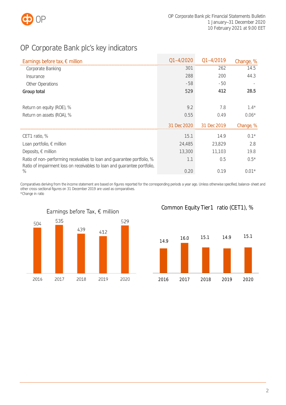

# <span id="page-2-0"></span>OP Corporate Bank plc's key indicators

| Earnings before tax, $\epsilon$ million                                                                                                            | $01 - 4/2020$ | $01 - 4/2019$ | Change, % |
|----------------------------------------------------------------------------------------------------------------------------------------------------|---------------|---------------|-----------|
| Corporate Banking                                                                                                                                  | 301           | 262           | 14.5      |
| Insurance                                                                                                                                          | 288           | 200           | 44.3      |
| <b>Other Operations</b>                                                                                                                            | $-58$         | $-50$         |           |
| Group total                                                                                                                                        | 529           | 412           | 28.5      |
|                                                                                                                                                    |               |               |           |
| Return on equity (ROE), %                                                                                                                          | 9.2           | 7.8           | $1.4*$    |
| Return on assets (ROA), %                                                                                                                          | 0.55          | 0.49          | $0.06*$   |
|                                                                                                                                                    | 31 Dec 2020   | 31 Dec 2019   | Change, % |
| CET1 ratio, %                                                                                                                                      | 15.1          | 14.9          | $0.1*$    |
| Loan portfolio, $\epsilon$ million                                                                                                                 | 24,485        | 23,829        | 2.8       |
| Deposits, $\epsilon$ million                                                                                                                       | 13,300        | 11.103        | 19.8      |
| Ratio of non-performing receivables to loan and guarantee portfolio, %<br>Ratio of impairment loss on receivables to loan and guarantee portfolio, | 1.1           | 0.5           | $0.5*$    |
| $\%$                                                                                                                                               | 0.20          | 0.19          | $0.01*$   |

Comparatives deriving from the income statement are based on figures reported for the corresponding periods a year ago. Unless otherwise specified, balance-sheet and other cross-sectional figures on 31 December 2019 are used as comparatives. \*Change in ratio



Common Equity Tier1 ratio (CET1), %

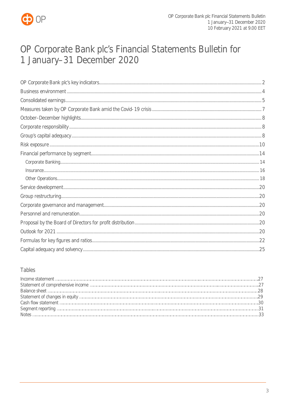

# OP Corporate Bank plc's Financial Statements Bulletin for 1 January-31 December 2020

## Tables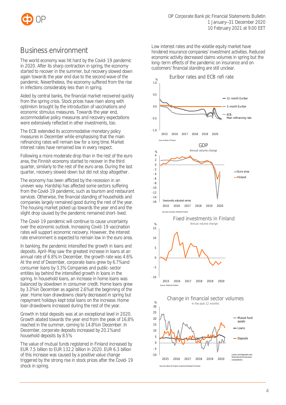

# <span id="page-4-0"></span>Business environment

The world economy was hit hard by the Covid-19 pandemic in 2020. After its sharp contraction in spring, the economy started to recover in the summer, but recovery slowed down again towards the year end due to the second wave of the pandemic. Nevertheless, the economy suffered from the rise in infections considerably less than in spring.

Aided by central banks, the financial market recovered quickly from the spring crisis. Stock prices have risen along with optimism brought by the introduction of vaccinations and economic stimulus measures. Towards the year end, accommodative policy measures and recovery expectations were extensively reflected in other investments, too.

The ECB extended its accommodative monetary policy measures in December while emphasising that the main refinancing rates will remain low for a long time. Market interest rates have remained low in every respect.

Following a more moderate drop than in the rest of the euro area, the Finnish economy started to recover in the third quarter, similarly to the rest of the euro area. During the last quarter, recovery slowed down but did not stop altogether.

The economy has been afflicted by the recession in an uneven way. Hardship has affected some sectors suffering from the Covid-19 pandemic, such as tourism and restaurant services. Otherwise, the financial standing of households and companies largely remained good during the rest of the year. The housing market picked up towards the year end and the slight drop caused by the pandemic remained short-lived.

The Covid-19 pandemic will continue to cause uncertainty over the economic outlook. Increasing Covid-19 vaccination rates will support economic recovery. However, the interest rate environment is expected to remain low in the euro area.

In banking, the pandemic intensified the growth in loans and deposits. April–May saw the greatest increase in loans at an annual rate of 6.8%. In December, the growth rate was 4.6%. At the end of December, corporate loans grew by 6.7% and consumer loans by 3.3%. Companies and public-sector entities lay behind the intensified growth in loans in the spring. In household loans, an increase in home loans was balanced by slowdown in consumer credit. Home loans grew by 3.3% in December as against 2.6% at the beginning of the year. Home loan drawdowns clearly decreased in spring but repayment holidays kept total loans on the increase. Home loan drawdowns increased during the rest of the year.

Growth in total deposits was at an exceptional level in 2020. Growth abated towards the year end from the peak of 16.8% reached in the summer, coming to 14.8% in December. In December, corporate deposits increased by 20.1% and household deposits by 8.5%.

The value of mutual funds registered in Finland increased by EUR 7.5 billion to EUR 132.2 billion in 2020. EUR 6.3 billion of this increase was caused by a positive value change triggered by the strong rise in stock prices after the Covid-19 shock in spring.

Low interest rates and the volatile equity market have hindered insurance companies' investment activities. Reduced economic activity decreased claims volumes in spring but the long-term effects of the pandemic on insurance and on customers' financial standing are still unclear.

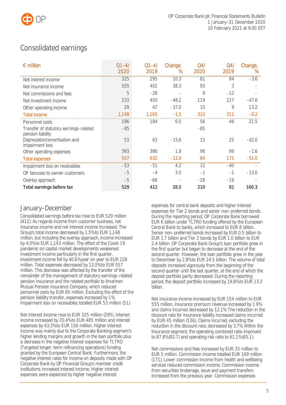

# <span id="page-5-0"></span>Consolidated earnings

| $\epsilon$ million                                          | $Q1 - 4/$<br>2020 | $Q1 - 4/$<br>2019 | Change,<br>$\%$ | Q <sub>4</sub><br>2020 | Q4/<br>2019 | Change,<br>$\%$ |
|-------------------------------------------------------------|-------------------|-------------------|-----------------|------------------------|-------------|-----------------|
| Net interest income                                         | 325               | 295               | 10.3            | 81                     | 84          | $-3.6$          |
| Net insurance income                                        | 555               | 402               | 38.3            | 93                     | 3           |                 |
| Net commissions and fees                                    | 5                 | $-28$             |                 | 8                      | $-12$       |                 |
| Net investment income                                       | 233               | 450               | $-48.2$         | 119                    | 227         | $-47.6$         |
| Other operating income                                      | 29                | 47                | $-37.0$         | 10                     | 9           | 13.2            |
| <b>Total income</b>                                         | 1,148             | 1,165             | $-1.5$          | 310                    | 311         | $-0.2$          |
| Personnel costs                                             | 196               | 184               | 6.5             | 56                     | 46          | 21.5            |
| Transfer of statutory earnings-related<br>pension liability | $-85$             |                   |                 | -85                    |             |                 |
| Depreciation/amortisation and<br>impairment loss            | 53                | 63                | $-15.6$         | 15                     | 25          | $-42.0$         |
| Other operating expenses                                    | 393               | 386               | 1.8             | 98                     | 99          | $-1.6$          |
| <b>Total expenses</b>                                       | 557               | 632               | $-12.0$         | 84                     | 171         | $-51.0$         |
| Impairment loss on receivables                              | $-53$             | $-51$             | 4.2             | 12                     | $-40$       |                 |
| OP bonuses to owner-customers                               | -5                | $-4$              | 3.5             | $-1$                   | $-1$        | $-13.0$         |
| Overlay approach                                            | $-5$              | -66               |                 | $-28$                  | $-19$       |                 |
| Total earnings before tax                                   | 529               | 412               | 28.5            | 210                    | 81          | 160.3           |

## January–December

Consolidated earnings before tax rose to EUR 529 million (412). As regards income from customer business, net insurance income and net interest income increased. The Group's total income decreased by 1.5% to EUR 1,148 million, but including the overlay approach, income increased by 4.0% to EUR 1,143 million. The effect of the Covid-19 pandemic on capital market developments weakened investment income particularly in the first quarter. Investment income fell by 40.6% year on year to EUR 228 million. Total expenses decreased by 12.0% to EUR 557 million. This decrease was affected by the transfer of the remainder of the management of statutory earnings-related pension insurance and the related portfolio to Ilmarinen Mutual Pension Insurance Company, which reduced personnel costs by EUR 85 million. Excluding the effect of the pension liability transfer, expenses increased by 1%. Impairment loss on receivables totalled EUR 53 million (51).

Net interest income rose to EUR 325 million (295). Interest income increased by 20.4% to EUR 485 million and interest expenses by 43.3% to EUR 156 million. Higher interest income was mainly due to the Corporate Banking segment's higher lending margins and growth in the loan portfolio plus a decrease in the negative interest expenses for TLTRO (Targeted longer-term refinancing operations) funding granted by the European Central Bank. Furthermore, the negative interest rates for income on deposits made with OP Corporate Bank by OP Financial Group's member credit institutions increased interest income. Higher interest expenses were explained by higher negative interest

expenses for central bank deposits and higher interest expenses for Tier 2 bonds and senior non-preferred bonds. During the reporting period, OP Corporate Bank borrowed EUR 6 billion under TLTRO funding offered by the European Central Bank to banks, which increased to EUR 8 billion. Senior non-preferred bonds increased by EUR 0.5 billion to EUR 1.7 billion and Tier 2 bonds by EUR 1.0 billion to EUR 2.4 billion. OP Corporate Bank Group's loan portfolio grew in the first quarter but began to decrease at the end of the second quarter. However, the loan portfolio grew in the year to December by 2.8% to EUR 24.5 billion. The volume of total deposits increased vigorously from the beginning of the second quarter until the last quarter, at the end of which the deposit portfolio partly decreased. During the reporting period, the deposit portfolio increased by 19.8% to EUR 13.3 billion.

Net insurance income increased by EUR 154 million to EUR 555 million. Insurance premium revenue increased by 1.9% and claims incurred decreased by 12.1%. The reduction in the discount rate for insurance liability increased claims incurred by EUR 45 million (136). Claims incurred, excluding the reduction in the discount rate, decreased by 3.7%. Within the Insurance segment, the operating combined ratio improved to 87.8% (92.7) and operating risk ratio to 61.1% (65.1).

Net commissions and fees increased by EUR 33 million to EUR 5 million. Commission income totalled EUR 169 million (171). Lower commission income from health and wellbeing services reduced commission income. Commission income from securities brokerage, issue and payment transfers increased from the previous year. Commission expenses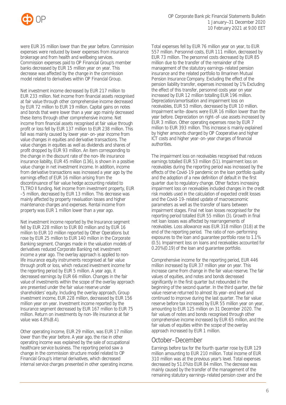

were EUR 35 million lower than the year before. Commission expenses were reduced by lower expenses from insurance brokerage and from health and wellbeing services. Commission expenses paid to OP Financial Group's member banks decreased by EUR 15 million year on year. This decrease was affected by the change in the commission model related to derivatives within OP Financial Group.

Net investment income decreased by EUR 217 million to EUR 233 million. Net income from financial assets recognised at fair value through other comprehensive income decreased by EUR 72 million to EUR 19 million. Capital gains on notes and bonds that were lower than a year ago mainly decreased these items through other comprehensive income. Net income from financial assets recognised at fair value through profit or loss fell by EUR 137 million to EUR 238 million. This fall was mainly caused by lower year-on-year income from value changes in equities and derivative transactions. The value changes in equities as well as dividends and shares of profit dropped by EUR 93 million. An item corresponding to the change in the discount rate of the non-life insurance insurance liability, EUR 45 million (136), is shown in a positive value change in net investment income. In addition, income from derivative transactions was increased a year ago by the earnings effect of EUR 16 million arising from the discontinuance of fair value hedge accounting related to TLTRO II funding. Net income from investment property, EUR –5 million, decreased by EUR 13 million. This decrease was mainly affected by property revaluation losses and higher maintenance charges and expenses. Rental income from property was EUR 1 million lower than a year ago.

Net investment income reported by the Insurance segment fell by EUR 228 million to EUR 80 million and by EUR 16 million to EUR 10 million reported by Other Operations but rose by EUR 25 million to EUR 140 million in the Corporate Banking segment. Changes made in the valuation models of derivatives reduced Corporate Banking net investment income a year ago. The overlay approach is applied to nonlife insurance equity instruments recognised at fair value through profit or loss, which reduced investment income for the reporting period by EUR 5 million. A year ago, it decreased earnings by EUR 66 million. Changes in the fair value of investments within the scope of the overlay approach are presented under the fair value reserve under shareholders' equity. Including the overlay approach, Group investment income, EUR 228 million, decreased by EUR 156 million year on year. Investment income reported by the Insurance segment decreased by EUR 167 million to EUR 75 million. Return on investments by non-life insurance at fair value was 4.8% (8.4).

Other operating income, EUR 29 million, was EUR 17 million lower than the year before. A year ago, the rise in other operating income was explained by the sale of occupational healthcare service business. The reporting period saw a change in the commission structure model related to OP Financial Group's internal derivatives, which decreased internal service charges presented in other operating income. Total expenses fell by EUR 76 million year on year, to EUR 557 million. Personnel costs, EUR 111 million, decreased by EUR 73 million. The personnel costs decreased by EUR 85 million due to the transfer of the remainder of the management of the statutory earnings-related pension insurance and the related portfolio to Ilmarinen Mutual Pension Insurance Company. Excluding the effect of the pension liability transfer, expenses increased by 1%. Excluding the effect of this transfer, personnel costs year on year increased by EUR 12 million totalling EUR 196 million. Depreciation/amortisation and impairment loss on receivables, EUR 53 million, decreased by EUR 10 million. Impairment write-downs were EUR 16 million lower than the year before. Depreciation on right-of-use assets increased by EUR 3 million. Other operating expenses rose by EUR 7 million to EUR 393 million. This increase is mainly explained by higher amounts charged by OP Cooperative and higher ICT costs and higher year-on-year charges of financial authorities.

The impairment loss on receivables recognised that reduces earnings totalled EUR 53 million (51). Impairment loss on receivables during the reporting period was increased by the effects of the Covid-19 pandemic on the loan portfolio quality and the adoption of a new definition of default in the first quarter due to regulatory change. Other factors increasing impairment loss on receivables included changes in the credit risk models used in the calculation of expected credit losses and the Covid-19-related update of macroeconomic parameters as well as the transfer of loans between impairment stages. Final net loan losses recognised for the reporting period totalled EUR 55 million (3). Growth in final net loan losses was affected by rearrangements of receivables. Loss allowance was EUR 318 million (318) at the end of the reporting period. The ratio of non-performing exposures to the loan and guarantee portfolio rose to 1.1% (0.5). Impairment loss on loans and receivables accounted for 0.20% (0.19) of the loan and guarantee portfolio.

Comprehensive income for the reporting period, EUR 446 million increased by EUR 37 million year on year. This increase came from change in the fair value reserve. The fair values of equities, and notes and bonds decreased significantly in the first quarter but rebounded in the beginning of the second quarter. In the third quarter, the fair value reserve returned to almost its year-end level and continued to improve during the last quarter. The fair value reserve before tax increased by EUR 55 million year on year, amounting to EUR 125 million on 31 December 2020. The fair values of notes and bonds recognised through other comprehensive income increased by EUR 65 million, and the fair values of equities within the scope of the overlay approach increased by EUR 1 million.

## October–December

Earnings before tax for the fourth quarter rose by EUR 129 million amounting to EUR 210 million. Total income of EUR 310 million was at the previous year's level. Total expenses decreased by 51.0% to EUR 84 million. The decrease was mainly caused by the transfer of the management of the remaining statutory earnings-related pension cover and the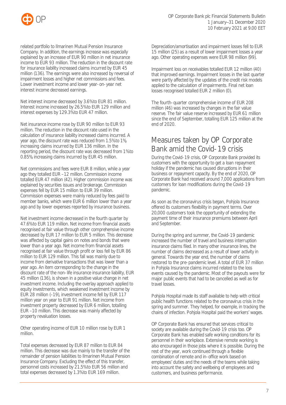

related portfolio to Ilmarinen Mutual Pension Insurance Company. In addition, the earnings increase was especially explained by an increase of EUR 90 million in net insurance income to EUR 93 million. The reduction in the discount rate for insurance liability increased claims incurred by EUR 45 million (136). The earnings were also increased by reversal of impairment losses and higher net commissions and fees. Lower investment income and lower year-on-year net interest income decreased earnings.

Net interest income decreased by 3.6% to EUR 81 million. Interest income increased by 26.5% to EUR 129 million and interest expenses by 129.3% to EUR 47 million.

Net insurance income rose by EUR 90 million to EUR 93 million. The reduction in the discount rate used in the calculation of insurance liability increased claims incurred. A year ago, the discount rate was reduced from 1.5% to 1%, increasing claims incurred by EUR 136 million. In the reporting period, the discount rate was decreased from 1% to 0.85%, increasing claims incurred by EUR 45 million.

Net commissions and fees were EUR 8 million, while a year ago they totalled EUR –12 million. Commission income totalled EUR 47 million (42). Higher commission income was explained by securities issues and brokerage. Commission expenses fell by EUR 15 million to EUR 39 million. Commission expenses were mainly reduced by fees paid to member banks, which were EUR 6 million lower than a year ago and by lower expenses reported by insurance business.

Net investment income decreased in the fourth quarter by 47.6% to EUR 119 million. Net income from financial assets recognised at fair value through other comprehensive income decreased by EUR 17 million to EUR 5 million. This decrease was affected by capital gains on notes and bonds that were lower than a year ago. Net income from financial assets recognised at fair value through profit or loss fell by EUR 86 million to EUR 129 million. This fall was mainly due to income from derivative transactions that was lower than a year ago. An item corresponding to the change in the discount rate of the non-life insurance insurance liability, EUR 45 million (136), is shown in a positive value change in net investment income. Including the overlay approach applied to equity investments, which weakened investment income by EUR 28 million (–19), investment income fell by EUR 117 million year on year to EUR 91 million. Net income from investment property decreased by EUR 6 million, totalling EUR –10 million. This decrease was mainly affected by property revaluation losses.

Other operating income of EUR 10 million rose by EUR 1 million.

Total expenses decreased by EUR 87 million to EUR 84 million. This decrease was due mainly to the transfer of the remainder of pension liabilities to Ilmarinen Mutual Pension Insurance Company. Excluding the effect of this transfer, personnel costs increased by 21.5% to EUR 56 million and total expenses decreased by 1.3% to EUR 169 million.

Depreciation/amortisation and impairment losses fell to EUR 15 million (25) as a result of lower impairment losses a year ago. Other operating expenses were EUR 98 million (99).

Impairment loss on receivables totalled EUR 12 million (40) that improved earnings. Impairment losses in the last quarter were partly affected by the updates of the credit risk models applied to the calculation of impairments. Final net loan losses recognised totalled EUR 2 million (0).

The fourth-quarter comprehensive income of EUR 208 million (46) was increased by changes in the fair value reserve. The fair value reserve increased by EUR 61 million since the end of September, totalling EUR 125 million at the end of 2020.

# <span id="page-7-0"></span>Measures taken by OP Corporate Bank amid the Covid-19 crisis

During the Covid-19 crisis, OP Corporate Bank provided its customers with the opportunity to get a loan repayment holiday if the pandemic has caused disruptions in their business or repayment capacity. By the end of 2020, OP Corporate Bank had received around 7,000 applications from customers for loan modifications during the Covid-19 pandemic.

As soon as the coronavirus crisis began, Pohjola Insurance offered its customers flexibility in payment terms. Over 20,000 customers took the opportunity of extending the payment time of their insurance premiums between April and September.

During the spring and summer, the Covid-19 pandemic increased the number of travel and business interruption insurance claims filed. In many other insurance lines, the number of claims decreased as a result of lower activity in general. Towards the year end, the number of claims restored to the pre-pandemic level. A total of EUR 37 million in Pohjola Insurance claims incurred related to the loss events caused by the pandemic. Most of the payouts were for major public events that had to be cancelled as well as for travel losses.

Pohjola Hospital made its staff available to help with critical public health functions related to the coronavirus crisis in the spring and summer. They helped, for example, in tracking the chains of infection. Pohjola Hospital paid the workers' wages.

OP Corporate Bank has ensured that services critical to society are available during the Covid-19 crisis too. OP Corporate Bank has enabled safe working conditions for its personnel in their workplace. Extensive remote working is also encouraged in those jobs where it is possible. During the rest of the year, work continued through a flexible combination of remote and in-office work based on employees' duties and the needs of the teams while taking into account the safety and wellbeing of employees and customers, and business performance.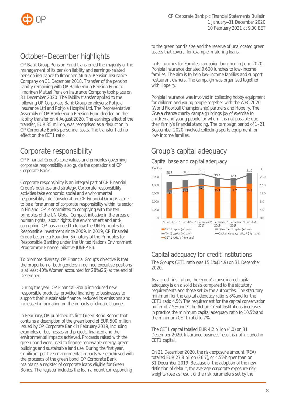

# <span id="page-8-0"></span>October–December highlights

OP Bank Group Pension Fund transferred the majority of the management of its pension liability and earnings-related pension insurance to Ilmarinen Mutual Pension Insurance Company on 31 December 2018. Transfer of the pension liability remaining with OP Bank Group Pension Fund to Ilmarinen Mutual Pension Insurance Company took place on 31 December 2020. The liability transfer applied to the following OP Corporate Bank Group employers: Pohjola Insurance Ltd and Pohjola Hospital Ltd. The Representative Assembly of OP Bank Group Pension Fund decided on the liability transfer on 4 August 2020. The earnings effect of the transfer, EUR 85 million, was recognised as a deduction in OP Corporate Bank's personnel costs. The transfer had no effect on the CET1 ratio.

# <span id="page-8-1"></span>Corporate responsibility

OP Financial Group's core values and principles governing corporate responsibility also guide the operations of OP Corporate Bank.

Corporate responsibility is an integral part of OP Financial Group's business and strategy. Corporate responsibility activities take economic, social and environmental responsibility into consideration. OP Financial Group's aim is to be a forerunner of corporate responsibility within its sector in Finland. OP is committed to complying with the ten principles of the UN Global Compact initiative in the areas of human rights, labour rights, the environment and anticorruption. OP has agreed to follow the UN Principles for Responsible Investment since 2009. In 2019, OP Financial Group became a Founding Signatory of the Principles for Responsible Banking under the United Nations Environment Programme Finance Initiative (UNEP FI).

To promote diversity, OP Financial Group's objective is that the proportion of both genders in defined executive positions is at least 40%. Women accounted for 28% (26) at the end of December.

During the year, OP Financial Group introduced new responsible products, provided financing to businesses to support their sustainable finance, reduced its emissions and increased information on the impacts of climate change.

In February, OP published its first Green Bond Report that contains a description of the green bond of EUR 500 million issued by OP Corporate Bank in February 2019, including examples of businesses and projects financed and the environmental impacts achieved. Proceeds raised with the green bond were used to finance renewable energy, green buildings and sustainable land use. During the first year, significant positive environmental impacts were achieved with the proceeds of the green bond. OP Corporate Bank maintains a register of corporate loans eligible for Green Bonds. The register includes the loan amount corresponding

to the green bond's size and the reserve of unallocated green assets that covers, for example, maturing loans.

In its Lunches for Families campaign launched in June 2020, Pohjola Insurance donated 9,600 lunches to low-income families. The aim is to help low-income families and support restaurant owners. The campaign was organised together with Hope ry.

Pohiola Insurance was involved in collecting hobby equipment for children and young people together with the WFC 2020 (World Floorball Championship) partners and Hope ry. The *Give a chance* charity campaign brings joy of exercise to children and young people for whom it is not possible due their family's financial standing. The campaign period of 1–21 September 2020 involved collecting sports equipment for low-income families.

# <span id="page-8-2"></span>Group's capital adequacy



# Capital adequacy for credit institutions

The Group's CET1 ratio was 15.1% (14.9) on 31 December 2020.

As a credit institution, the Group's consolidated capital adequacy is on a solid basis compared to the statutory requirements and those set by the authorities. The statutory minimum for the capital adequacy ratio is 8% and for the CET1 ratio 4.5%. The requirement for the capital conservation buffer of 2.5% under the Act on Credit Institutions increases in practice the minimum capital adequacy ratio to 10.5% and the minimum CET1 ratio to 7%.

The CET1 capital totalled EUR 4.2 billion (4.0) on 31 December 2020. Insurance business result is not included in CET1 capital.

On 31 December 2020, the risk exposure amount (REA) totalled EUR 27.8 billion (26.7), or 4.5% higher than on 31 December 2019. Because of the adoption of the new definition of default, the average corporate exposure risk weights rose as result of the risk parameters set by the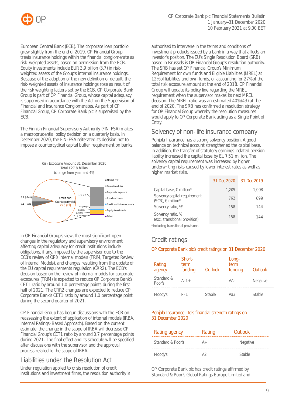

European Central Bank (ECB). The corporate loan portfolio grew slightly from the end of 2019. OP Financial Group treats insurance holdings within the financial conglomerate as risk-weighted assets, based on permission from the ECB. Equity investments include EUR 3.9 billion (3.7) in riskweighted assets of the Group's internal insurance holdings. Because of the adoption of the new definition of default, the risk-weighted assets of insurance holdings rose as result of the risk weighting factors set by the ECB. OP Corporate Bank Group is part of OP Financial Group, whose capital adequacy is supervised in accordance with the Act on the Supervision of Financial and Insurance Conglomerates. As part of OP Financial Group, OP Corporate Bank plc is supervised by the ECB.

The Finnish Financial Supervisory Authority (FIN-FSA) makes a macroprudential policy decision on a quarterly basis. In December 2020, the FIN-FSA reiterated its decision not to impose a countercyclical capital buffer requirement on banks.



In OP Financial Group's view, the most significant open changes in the regulatory and supervisory environment affecting capital adequacy for credit institutions include obligations, if any, imposed by the supervisor due to the ECB's review of OP's internal models (TRIM, Targeted Review of Internal Models), and changes resulting from the update of the EU capital requirements regulation (CRR2). The ECB's decision based on the review of internal models for corporate exposures (TRIM) is expected to reduce OP Corporate Bank's CET1 ratio by around 1.0 percentage points during the first half of 2021. The CRR2 changes are expected to reduce OP Corporate Bank's CET1 ratio by around 1.0 percentage point during the second quarter of 2021.

OP Financial Group has begun discussions with the ECB on reassessing the extent of application of internal models (IRBA, Internal Ratings-Based Approach). Based on the current estimate, the change in the scope of IRBA will decrease OP Financial Group's CET1 ratio by around 0.7 percentage points during 2021. The final effect and its schedule will be specified after discussions with the supervisor and the approval process related to the scope of IRBA.

## Liabilities under the Resolution Act

Under regulation applied to crisis resolution of credit institutions and investment firms, the resolution authority is authorised to intervene in the terms and conditions of investment products issued by a bank in a way that affects an investor's position. The EU's Single Resolution Board (SRB) based in Brussels is OP Financial Group's resolution authority. The SRB has set OP Financial Group's Minimum Requirement for own funds and Eligible Liabilities (MREL) at 12% of liabilities and own funds, or accounting for 27% of the total risk exposure amount at the end of 2018. OP Financial Group will update its policy line regarding the MREL requirement when the supervisor makes its next MREL decision. The MREL ratio was an estimated 40% (43) at the end of 2020. The SRB has confirmed a resolution strategy for OP Financial Group whereby the resolution measures would apply to OP Corporate Bank acting as a Single Point of Entry.

## Solvency of non-life insurance company

Pohiola Insurance has a strong solvency position. A good balance on technical account strengthened the capital base. In addition, the transfer of statutory earnings-related pension liability increased the capital base by EUR 51 million. The solvency capital requirement was increased by higher underwriting risks caused by lower interest rates as well as higher market risks.

|                                                          | 31 Dec 2020 | 31 Dec 2019 |
|----------------------------------------------------------|-------------|-------------|
| Capital base, $\epsilon$ million*                        | 1,205       | 1,008       |
| Solvency capital requirement<br>$(SCR)$ , $\in$ million* | 762         | 699         |
| Solvency ratio, %*                                       | 158         | 144         |
| Solvency ratio, %<br>(excl. transitional provision)      | 158         | 144         |
| *including transitional provisions                       |             |             |

## Credit ratings

## OP Corporate Bank plc's credit ratings on 31 December 2020

| Rating<br>agency     | Short-<br>term<br>funding | <b>Outlook</b> | Long-<br>term<br>funding | <b>Outlook</b>  |
|----------------------|---------------------------|----------------|--------------------------|-----------------|
| Standard &<br>Poor's | $A - 1 +$                 |                | AA-                      | <b>Negative</b> |
| Moody's              | P-1                       | <b>Stable</b>  | АяЗ                      | Stable          |

### Pohjola Insurance Ltd's financial strength ratings on 31 December 2020

| Rating agency     | Rating | Outlook         |
|-------------------|--------|-----------------|
| Standard & Poor's |        | <b>Negative</b> |
| Moody's           |        | Stable          |

OP Corporate Bank plc has credit ratings affirmed by Standard & Poor's Global Ratings Europe Limited and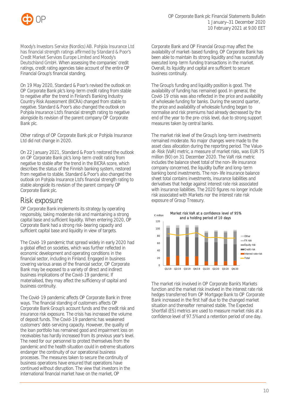

Moody's Investors Service (Nordics) AB. Pohjola Insurance Ltd has financial strength ratings affirmed by Standard & Poor's Credit Market Services Europe Limited and Moody's Deutschland GmbH. When assessing the companies' credit ratings, credit rating agencies take account of the entire OP Financial Group's financial standing.

On 19 May 2020, Standard & Poor's revised the outlook on OP Corporate Bank plc's long-term credit rating from stable to negative after the trend in Finland's Banking Industry Country Risk Assessment (BICRA) changed from stable to negative. Standard & Poor's also changed the outlook on Pohjola Insurance Ltd's financial strength rating to negative alongside its revision of the parent company OP Corporate Bank plc.

Other ratings of OP Corporate Bank plc or Pohjola Insurance Ltd did not change in 2020.

On 22 January 2021, Standard & Poor's restored the outlook on OP Corporate Bank plc's long-term credit rating from negative to stable after the trend in the BICRA score, which describes the status of the Finnish banking system, restored from negative to stable. Standard & Poor's also changed the outlook on Pohjola Insurance Ltd's financial strength rating to stable alongside its revision of the parent company OP Corporate Bank plc.

# <span id="page-10-0"></span>Risk exposure

OP Corporate Bank implements its strategy by operating responsibly, taking moderate risk and maintaining a strong capital base and sufficient liquidity. When entering 2020, OP Corporate Bank had a strong risk-bearing capacity and sufficient capital base and liquidity in view of targets.

The Covid-19 pandemic that spread widely in early 2020 had a global effect on societies, which was further reflected in economic development and operating conditions in the financial sector, including in Finland. Engaged in business covering various areas of the financial sector, OP Corporate Bank may be exposed to a variety of direct and indirect business implications of the Covid-19 pandemic. If materialised, they may affect the sufficiency of capital and business continuity.

The Covid-19 pandemic affects OP Corporate Bank in three ways. The financial standing of customers affects OP Corporate Bank Group's account funds and the credit risk and insurance risk exposure. The crisis has increased the volume of deposit funds. The Covid-19 pandemic has weakened customers' debt-servicing capacity. However, the quality of the loan portfolio has remained good and impairment loss on receivables has hardly increased from its previous year's level. The need for our personnel to protect themselves from the pandemic and the health situation could in extreme situations endanger the continuity of our operational business processes. The measures taken to secure the continuity of business operations have ensured that operations have continued without disruption. The view that investors in the international financial market have on the market, OP

Corporate Bank and OP Financial Group may affect the availability of market-based funding. OP Corporate Bank has been able to maintain its strong liquidity and has successfully executed long-term funding transactions in the market. Overall, its liquidity and capital are sufficient to secure business continuity.

The Group's funding and liquidity position is good. The availability of funding has remained good. In general, the Covid-19 crisis was also reflected in the price and availability of wholesale funding for banks. During the second quarter, the price and availability of wholesale funding began to normalise and risk premiums had already decreased by the end of the year to the pre-crisis level, due to strong support measures taken by central banks.

The market risk level of the Group's long-term investments remained moderate. No major changes were made to the asset class allocation during the reporting period. The Valueat-Risk (VaR) metric, a measure of market risks, was EUR 75 million (90) on 31 December 2020. The VaR risk metric includes the balance sheet total of the non-life insurance company concerned, the liquidity buffer and long-term banking bond investments. The non-life insurance balance sheet total contains investments, insurance liabilities and derivatives that hedge against interest rate risk associated with insurance liabilities. The 2020 figures no longer include risk associated with Markets nor the interest rate risk exposure of Group Treasury.



The market risk involved in OP Corporate Bank's Markets function and the market risk involved in the interest rate risk hedges transferred from OP Mortgage Bank to OP Corporate Bank increased in the first half due to the changed market situation and thereafter remained stable. The Expected Shortfall (ES) metrics are used to measure market risks at a confidence level of 97.5% and a retention period of one day.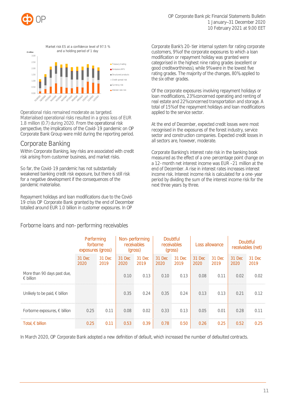



Operational risks remained moderate as targeted. Materialised operational risks resulted in a gross loss of EUR 1.8 million (0.7) during 2020. From the operational risk perspective, the implications of the Covid-19 pandemic on OP Corporate Bank Group were mild during the reporting period.

## Corporate Banking

Within Corporate Banking, key risks are associated with credit risk arising from customer business, and market risks.

So far, the Covid-19 pandemic has not substantially weakened banking credit risk exposure, but there is still risk for a negative development if the consequences of the pandemic materialise.

Repayment holidays and loan modifications due to the Covid-19 crisis OP Corporate Bank granted by the end of December totalled around EUR 1.0 billion in customer exposures. In OP

Forborne loans and non-performing receivables

Corporate Bank's 20-tier internal system for rating corporate customers, 9% of the corporate exposures to which a loan modification or repayment holiday was granted were categorised in the highest nine rating grades (excellent or good creditworthiness), while 9% were in the lowest five rating grades. The majority of the changes, 80%, applied to the six other grades.

Of the corporate exposures involving repayment holidays or loan modifications, 23% concerned operating and renting of real estate and 22% concerned transportation and storage. A total of 15% of the repayment holidays and loan modifications applied to the service sector.

At the end of December, expected credit losses were most recognised in the exposures of the forest industry, service sector and construction companies. Expected credit losses in all sectors are, however, moderate.

Corporate Banking's interest rate risk in the banking book measured as the effect of a one-percentage point change on a 12-month net interest income was EUR –21 million at the end of December. A rise in interest rates increases interest income risk. Interest income risk is calculated for a one-year period by dividing the sum of the interest income risk for the next three years by three.

|                                                   | Performing<br>forborne<br>exposures (gross) |                | Non-performing<br>receivables<br>(gross) |                | <b>Doubtful</b><br>receivables<br>(gross) |                | Loss allowance |                                   | <b>Doubtful</b><br>receivables (net) |                |
|---------------------------------------------------|---------------------------------------------|----------------|------------------------------------------|----------------|-------------------------------------------|----------------|----------------|-----------------------------------|--------------------------------------|----------------|
|                                                   | 31 Dec<br>2020                              | 31 Dec<br>2019 | 31 Dec<br>2020                           | 31 Dec<br>2019 | 31 Dec<br>2020                            | 31 Dec<br>2019 | 31 Dec<br>2020 | 31 Dec<br>2019                    | 31 Dec<br>2020                       | 31 Dec<br>2019 |
| More than 90 days past due,<br>$\epsilon$ billion |                                             |                | 0.10                                     | 0.13           | 0.10                                      | 0.13           | 0.08           | 0.11<br>------------------------- | 0.02                                 | 0.02           |
| Unlikely to be paid, $\in$ billion                |                                             |                | 0.35                                     | 0.24           | 0.35                                      | 0.24           | 0.13           | 0.13                              | 0.21                                 | 0.12           |
| Forborne exposures, $\epsilon$ billion            | 0.25                                        | 0.11           | 0.08                                     | 0.02           | 0.33                                      | 0.13           | 0.05           | 0.01                              | 0.28                                 | 0.11           |
| Total, $\epsilon$ billion                         | 0.25                                        | 0.11           | 0.53                                     | 0.39           | 0.78                                      | 0.50           | 0.26           | 0.25                              | 0.52                                 | 0.25           |

In March 2020, OP Corporate Bank adopted a new definition of default, which increased the number of defaulted contracts.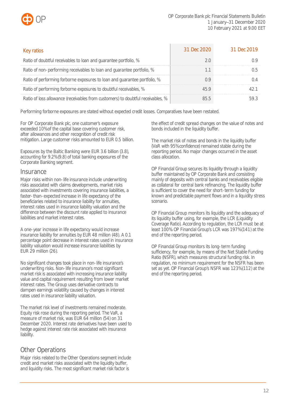

| Key ratios                                                                      | 31 Dec 2020 | 31 Dec 2019 |
|---------------------------------------------------------------------------------|-------------|-------------|
| Ratio of doubtful receivables to loan and guarantee portfolio, %                |             |             |
| Ratio of non-performing receivables to loan and guarantee portfolio, %          |             |             |
| Ratio of performing forborne exposures to loan and guarantee portfolio, %       |             |             |
| Ratio of performing forborne exposures to doubtful receivables, %               |             |             |
| Ratio of loss allowance (receivables from customers) to doubtful receivables, % |             |             |

Performing forborne exposures are stated without expected credit losses. Comparatives have been restated.

For OP Corporate Bank plc, one customer's exposure exceeded 10% of the capital base covering customer risk, after allowances and other recognition of credit risk mitigation. Large customer risks amounted to EUR 0.5 billion.

Exposures by the Baltic Banking were EUR 3.6 billion (3.8), accounting for 9.2% (9.8) of total banking exposures of the Corporate Banking segment.

### **Insurance**

Major risks within non-life insurance include underwriting risks associated with claims developments, market risks associated with investments covering insurance liabilities, a faster-than-expected increase in life expectancy of the beneficiaries related to insurance liability for annuities, interest rates used in insurance liability valuation and the difference between the discount rate applied to insurance liabilities and market interest rates.

A one-year increase in life expectancy would increase insurance liability for annuities by EUR 48 million (48). A 0.1 percentage point decrease in interest rates used in insurance liability valuation would increase insurance liabilities by EUR 29 million (26).

No significant changes took place in non-life insurance's underwriting risks. Non-life insurance's most significant market risk is associated with increasing insurance liability value and capital requirement resulting from lower market interest rates. The Group uses derivative contracts to dampen earnings volatility caused by changes in interest rates used in insurance liability valuation.

The market risk level of investments remained moderate. Equity risk rose during the reporting period. The VaR, a measure of market risk, was EUR 64 million (54) on 31 December 2020. Interest rate derivatives have been used to hedge against interest rate risk associated with insurance liability.

## Other Operations

Major risks related to the Other Operations segment include credit and market risks associated with the liquidity buffer, and liquidity risks. The most significant market risk factor is

the effect of credit spread changes on the value of notes and bonds included in the liquidity buffer.

The market risk of notes and bonds in the liquidity buffer (VaR with 95% confidence) remained stable during the reporting period. No major changes occurred in the asset class allocation.

OP Financial Group secures its liquidity through a liquidity buffer maintained by OP Corporate Bank and consisting mainly of deposits with central banks and receivables eligible as collateral for central bank refinancing. The liquidity buffer is sufficient to cover the need for short-term funding for known and predictable payment flows and in a liquidity stress scenario.

OP Financial Group monitors its liquidity and the adequacy of its liquidity buffer using, for example, the LCR (Liquidity Coverage Ratio). According to regulation, the LCR must be at least 100%. OP Financial Group's LCR was 197% (141) at the end of the reporting period.

OP Financial Group monitors its long-term funding sufficiency, for example, by means of the Net Stable Funding Ratio (NSFR), which measures structural funding risk. In regulation, no minimum requirement for the NSFR has been set as yet. OP Financial Group's NSFR was 123% (112) at the end of the reporting period.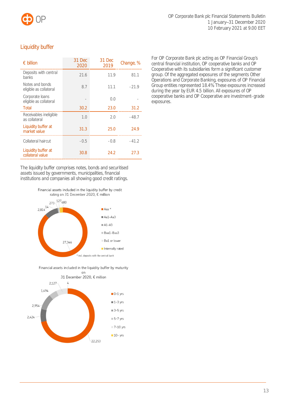

## Liquidity buffer

| $\epsilon$ billion                        | 31 Dec<br>2020 | 31 Dec<br>2019 | Change, % |
|-------------------------------------------|----------------|----------------|-----------|
| Deposits with central<br>banks            | 21.6           | 11.9           | 81.1      |
| Notes and bonds<br>eligible as collateral | 8.7            | 11.1           | $-21.9$   |
| Corporate loans<br>eligible as collateral |                | 0.0            |           |
| Total                                     | 30.2           | 23.0           | 31.2      |
| Receivables ineligible<br>as collateral   | 1.0            | 2.0            | $-48.7$   |
| Liquidity buffer at<br>market value       | 31.3           | 25.0           | 24.9      |
| Collateral haircut                        | $-0.5$         | $-0.8$         | $-41.2$   |
| Liquidity buffer at<br>collateral value   | 30.8           | 24.2           | 27.3      |

The liquidity buffer comprises notes, bonds and securitised assets issued by governments, municipalities, financial institutions and companies all showing good credit ratings.

> Financial assets included in the liquidity buffer by credit rating on 31 December 2020, € million



Financial assets included in the liquidity buffer by maturity



For OP Corporate Bank plc acting as OP Financial Group's central financial institution, OP cooperative banks and OP Cooperative with its subsidiaries form a significant customer group. Of the aggregated exposures of the segments Other Operations and Corporate Banking, exposures of OP Financial Group entities represented 18.4%. These exposures increased during the year by EUR 4.5 billion. All exposures of OP cooperative banks and OP Cooperative are investment-grade exposures.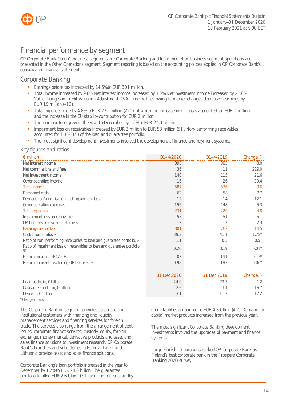

# <span id="page-14-0"></span>Financial performance by segment

OP Corporate Bank Group's business segments are Corporate Banking and Insurance. Non-business segment operations are presented in the Other Operations segment. Segment reporting is based on the accounting policies applied in OP Corporate Bank's consolidated financial statements.

## <span id="page-14-1"></span>Corporate Banking

- Earnings before tax increased by 14.5% to EUR 301 million.
- Total income increased by 9.6%. Net interest income increased by 3.0%. Net investment income increased by 21.6%. Value changes in Credit Valuation Adjustment (CVA) in derivatives owing to market changes decreased earnings by EUR 19 million (–12).
- Total expenses rose by 4.8% to EUR 231 million (220), of which the increase in ICT costs accounted for EUR 1 million and the increase in the EU stability contribution for EUR 2 million.
- The loan portfolio grew in the year to December by 1.2% to EUR 24.0 billion.
- Impairment loss on receivables increased by EUR 3 million to EUR 53 million (51). Non-performing receivables accounted for 1.1% (0.5) of the loan and guarantee portfolio.
- The most significant development investments involved the development of finance and payment systems.

## Key figures and ratios

| $\epsilon$ million                                                            | $Q1 - 4/2020$ | Q1-4/2019   | Change, % |
|-------------------------------------------------------------------------------|---------------|-------------|-----------|
| Net interest income                                                           | 395           | 383         | 3.0       |
| Net commissions and fees                                                      | 36            | 11          | 229.0     |
| Net investment income                                                         | 140           | 115         | 21.6      |
| Other operating income                                                        | 16            | 26          | $-39.4$   |
| <b>Total income</b>                                                           | 587           | 536         | 9.6       |
| Personnel costs                                                               | 62            | 58          | 7.7       |
| Depreciation/amortisation and impairment loss                                 | 12            | 14          | $-12.1$   |
| Other operating expenses                                                      | 156           | 148         | 5.3       |
| <b>Total expenses</b>                                                         | 231           | 220         | 4.8       |
| Impairment loss on receivables                                                | $-53$         | $-51$       | 5.1       |
| OP bonuses to owner-customers                                                 | $-2$          | $-2$        | 2.3       |
| Earnings before tax                                                           | 301           | 262         | 14.5      |
| Cost/income ratio, %                                                          | 39.3          | 41.1        | $-1.78*$  |
| Ratio of non-performing receivables to loan and guarantee portfolio, %        | 1.1           | 0.5         | $0.5*$    |
| Ratio of impairment loss on receivables to loan and guarantee portfolio,<br>% | 0.20          | 0.19        | $0.01*$   |
| Return on assets (ROA), %                                                     | 1.03          | 0.91        | $0.12*$   |
| Return on assets, excluding OP bonuses, %                                     | 0.98          | 0.92        | $0.06*$   |
|                                                                               |               |             |           |
|                                                                               | 31 Dec 2020   | 31 Dec 2019 | Change, % |
| Loan portfolio, $\in$ billion                                                 | 24.0          | 23.7        | 1.2       |
| Guarantee portfolio, $\epsilon$ billion                                       | 2.6           | 3.1         | $-16.7$   |
| Deposits, $\in$ billion                                                       | 13.1          | 11.2        | 17.2      |
| *Change in ratio                                                              |               |             |           |

The Corporate Banking segment provides corporate and institutional customers with financing and liquidity management services and financing services for foreign trade. The services also range from the arrangement of debt issues, corporate finance services, custody, equity, foreign exchange, money market, derivative products and asset and sales finance solutions to investment research. OP Corporate Bank's branches and subsidiaries in Estonia, Latvia and Lithuania provide asset and sales finance solutions.

Corporate Banking's loan portfolio increased in the year to December by 1.2% to EUR 24.0 billion. The guarantee portfolio totalled EUR 2.6 billion (3.1) and committed standby credit facilities amounted to EUR 4.3 billion (4.2). Demand for capital market products increased from the previous year.

The most significant Corporate Banking development investments involved the upgrades of payment and finance systems.

Large Finnish corporations ranked OP Corporate Bank as Finland's best corporate bank in the Prospera Corporate Banking 2020 survey.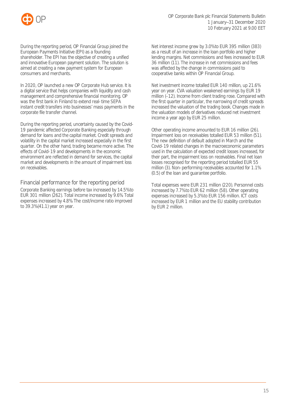

During the reporting period, OP Financial Group joined the European Payments Initiative (EPI) as a founding shareholder. The EPI has the objective of creating a unified and innovative European payment solution. The solution is aimed at creating a new payment system for European consumers and merchants.

In 2020, OP launched a new OP Corporate Hub service. It is a digital service that helps companies with liquidity and cash management and comprehensive financial monitoring. OP was the first bank in Finland to extend real-time SEPA instant credit transfers into businesses' mass payments in the corporate file transfer channel.

During the reporting period, uncertainty caused by the Covid-19 pandemic affected Corporate Banking especially through demand for loans and the capital market. Credit spreads and volatility in the capital market increased especially in the first quarter. On the other hand, trading became more active. The effects of Covid-19 and developments in the economic environment are reflected in demand for services, the capital market and developments in the amount of impairment loss on receivables.

Financial performance for the reporting period Corporate Banking earnings before tax increased by 14.5% to EUR 301 million (262). Total income increased by 9.6%. Total expenses increased by 4.8%. The cost/income ratio improved to 39.3% (41.1) year on year.

Net interest income grew by 3.0% to EUR 395 million (383) as a result of an increase in the loan portfolio and higher lending margins. Net commissions and fees increased to EUR 36 million (11). The increase in net commissions and fees was affected by the change in commissions paid to cooperative banks within OP Financial Group.

Net investment income totalled EUR 140 million, up 21.6% year on year. CVA valuation weakened earnings by EUR 19 million (–12). Income from client trading rose. Compared with the first quarter in particular, the narrowing of credit spreads increased the valuation of the trading book. Changes made in the valuation models of derivatives reduced net investment income a year ago by EUR 25 million.

Other operating income amounted to EUR 16 million (26). Impairment loss on receivables totalled EUR 53 million (51). The new definition of default adopted in March and the Covid-19 related changes in the macroeconomic parameters used in the calculation of expected credit losses increased, for their part, the impairment loss on receivables. Final net loan losses recognised for the reporting period totalled EUR 55 million (3). Non-performing receivables accounted for 1.1% (0.5) of the loan and guarantee portfolio.

Total expenses were EUR 231 million (220). Personnel costs increased by 7.7% to EUR 62 million (58). Other operating expenses increased by 5.3% to EUR 156 million. ICT costs increased by EUR 1 million and the EU stability contribution by EUR 2 million.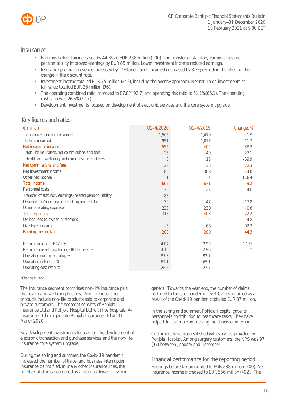

## <span id="page-16-0"></span>**Insurance**

- Earnings before tax increased by 44.3% to EUR 288 million (200). The transfer of statutory earnings-related pension liability improved earnings by EUR 85 million. Lower investment income reduced earnings.
- Insurance premium revenue increased by 1.9% and claims incurred decreased by 3.7%, excluding the effect of the change in the discount rate.
- Investment income totalled EUR 75 million (242), including the overlay approach. Net return on investments at fair value totalled EUR 25 million (96).
- The operating combined ratio improved to 87.8% (92.7) and operating risk ratio to 61.1% (65.1). The operating cost ratio was 26.6% (27.7).
- Development investments focused on development of electronic services and the core system upgrade.

## Key figures and ratios

| $\epsilon$ million                                       | $01 - 4/2020$ | Q1-4/2019 | Change, % |
|----------------------------------------------------------|---------------|-----------|-----------|
| Insurance premium revenue                                | 1,506         | 1,479     | 1.9       |
| Claims incurred                                          | 951           | 1,077     | $-11.7$   |
| Net insurance income                                     | 556           | 402       | 38.2      |
| Non-life insurance, net commissions and fees             | $-36$         | $-49$     | 27.1      |
| Health and wellbeing, net commissions and fees           | 8             | 13        | $-39.9$   |
| Net commissions and fees                                 | $-28$         | $-36$     | 22.3      |
| Net investment income                                    | 80            | 308       | $-74.0$   |
| Other net income                                         |               | $-4$      | 118.4     |
| <b>Total income</b>                                      | 609           | 671       | $-9.2$    |
| Personnel costs                                          | 130           | 125       | 4.0       |
| Transfer of statutory earnings-related pension liability | $-85$         |           |           |
| Depreciation/amortisation and impairment loss            | 39            | 47        | $-17.8$   |
| Other operating expenses                                 | 229           | 230       | $-0.6$    |
| <b>Total expenses</b>                                    | 313           | 403       | $-22.2$   |
| OP bonuses to owner-customers                            | $-2$          | $-2$      | 4.8       |
| Overlay approach                                         | $-5$          | $-66$     | 92.3      |
| Earnings before tax                                      | 288           | 200       | 44.3      |
| Return on assets (ROA), %                                | 4.07          | 2.93      | $1.15*$   |
| Return on assets, excluding OP bonuses, %                | 4.10          | 2.96      | $1.15*$   |
| Operating combined ratio, %                              | 87.8          | 92.7      |           |
| Operating risk ratio, %                                  | 61.1          | 65.1      |           |
| Operating cost ratio, %                                  | 26.6          | 27.7      |           |

\*Change in ratio

The Insurance segment comprises non-life insurance plus the health and wellbeing business. Non-life insurance products include non-life products sold to corporate and private customers. The segment consists of Pohjola Insurance Ltd and Pohjola Hospital Ltd with five hospitals. A-Insurance Ltd merged into Pohjola Insurance Ltd on 31 March 2020.

Key development investments focused on the development of electronic transaction and purchase services and the non-life insurance core system upgrade.

During the spring and summer, the Covid-19 pandemic increased the number of travel and business interruption insurance claims filed. In many other insurance lines, the number of claims decreased as a result of lower activity in general. Towards the year end, the number of claims restored to the pre-pandemic level. Claims incurred as a result of the Covid-19 pandemic totalled EUR 37 million.

In the spring and summer, Pohjola Hospital gave its personnel's contribution to healthcare tasks. They have helped, for example, in tracking the chains of infection.

Customers have been satisfied with services provided by Pohiola Hospital. Among surgery customers, the NPS was 97 (97) between January and December.

## Financial performance for the reporting period

Earnings before tax amounted to EUR 288 million (200). Net insurance income increased to EUR 556 million (402). The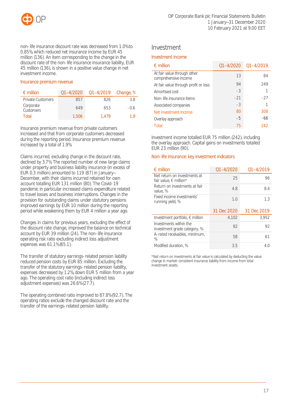

non-life insurance discount rate was decreased from 1.0% to 0.85%, which reduced net insurance income by EUR 45 million (136). An item corresponding to the change in the discount rate of the non-life insurance insurance liability, EUR 45 million (136), is shown in a positive value change in net investment income.

### Insurance premium revenue

| $\epsilon$ million       | 01-4/2020 | Q1-4/2019 Change, % |        |
|--------------------------|-----------|---------------------|--------|
| <b>Private Customers</b> | 8h /      | 826                 | 38     |
| Corporate<br>Customers   | 649       | 653                 | $-()6$ |
| Total                    | 1.506     | 1.479               | 1 Q    |

Insurance premium revenue from private customers increased and that from corporate customers decreased during the reporting period. Insurance premium revenue increased by a total of 1.9%.

Claims incurred, excluding change in the discount rate, declined by 3.7%. The reported number of new large claims under property and business liability insurance (in excess of EUR 0.3 million) amounted to 119 (87) in January-December, with their claims incurred retained for own account totalling EUR 131 million (80). The Covid-19 pandemic in particular increased claims expenditure related to travel losses and business interruptions. Changes in the provision for outstanding claims under statutory pensions improved earnings by EUR 10 million during the reporting period while weakening them by EUR 4 million a year ago.

Changes in claims for previous years, excluding the effect of the discount rate change, improved the balance on technical account by EUR 39 million (24). The non-life insurance operating risk ratio excluding indirect loss adjustment expenses was 61.1% (65.1).

The transfer of statutory earnings-related pension liability reduced pension costs by EUR 85 million. Excluding the transfer of the statutory earnings-related pension liability, expenses decreased by 1.2%, down EUR 5 million from a year ago. The operating cost ratio (including indirect loss adjustment expenses) was 26.6% (27.7).

The operating combined ratio improved to 87.8% (92.7). The operating ratios exclude the changed discount rate and the transfer of the earnings-related pension liability.

## Investment

### Investment income

| $\epsilon$ million                                  |       | $01 - 4/2020$ $01 - 4/2019$ |
|-----------------------------------------------------|-------|-----------------------------|
| At fair value through other<br>comprehensive income | 13    | 84                          |
| At fair value through profit or loss                | 94    | 249                         |
| Amortised cost                                      | $-3$  |                             |
| Non-life insurance items                            | $-21$ | $-27$                       |
| Associated companies                                | $-3$  |                             |
| Net investment income                               | 80    | 308                         |
| Overlay approach                                    | $-5$  | -66                         |
| Total                                               | 75    | 242                         |

Investment income totalled EUR 75 million (242), including the overlay approach. Capital gains on investments totalled EUR 23 million (90).

### Non-life insurance: key investment indicators

| $\epsilon$ million                                              | $01 - 4/2020$ | 01–4/2019               |
|-----------------------------------------------------------------|---------------|-------------------------|
| Net return on investments at<br>fair value, $\epsilon$ million* | 25            |                         |
| Return on investments at fair<br>value. %                       | 48            | 84                      |
| Fixed income investments'<br>running yield, %                   | 1 N           | 13                      |
|                                                                 |               |                         |
|                                                                 |               | 31 Dec 2020 31 Dec 2019 |
| Investment portfolio, $\epsilon$ million                        | 4.102         | 3.952                   |
| Investments within the<br>investment grade category, %          | 92            | 92                      |
| A-rated receivables, minimum,<br>$\frac{0}{6}$                  | 58            |                         |

\*Net return on investments at fair value is calculated by deducting the value change in market-consistent insurance liability from income from total investment assets.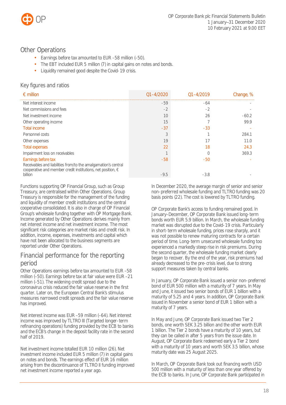

## <span id="page-18-0"></span>Other Operations

- Earnings before tax amounted to EUR –58 million (–50).
- The EBT included EUR 5 million (7) in capital gains on notes and bonds.
- Liquidity remained good despite the Covid-19 crisis.

## Key figures and ratios

| $\epsilon$ million                                                                                                                           | $01 - 4/2020$ | $01 - 4/2019$ | Change, % |
|----------------------------------------------------------------------------------------------------------------------------------------------|---------------|---------------|-----------|
| Net interest income                                                                                                                          | $-59$         | -64           |           |
| Net commissions and fees                                                                                                                     | $-2$          | -2            |           |
| Net investment income                                                                                                                        | 10            | 26            | $-60.2$   |
| Other operating income                                                                                                                       | 15            |               | 99.9      |
| <b>Total income</b>                                                                                                                          | $-37$         | $-33$         |           |
| Personnel costs                                                                                                                              | 3             |               | 284.1     |
| Other expenses                                                                                                                               | 19            |               | 11.0      |
| <b>Total expenses</b>                                                                                                                        | 22            | 18            | 24.3      |
| Impairment loss on receivables                                                                                                               |               |               | 369.3     |
| Earnings before tax                                                                                                                          | $-58$         | $-50$         |           |
| Receivables and liabilities from/to the amalgamation's central<br>cooperative and member credit institutions, net position, $\in$<br>billion | $-9.5$        | $-3.8$        |           |

Functions supporting OP Financial Group, such as Group Treasury, are centralised within Other Operations. Group Treasury is responsible for the management of the funding and liquidity of member credit institutions and the central cooperative consolidated. It is also in charge of OP Financial Group's wholesale funding together with OP Mortgage Bank. Income generated by Other Operations derives mainly from net interest income and net investment income. The most significant risk categories are market risks and credit risk. In addition, income, expenses, investments and capital which have not been allocated to the business segments are reported under Other Operations.

## Financial performance for the reporting period

Other Operations earnings before tax amounted to EUR –58 million (–50). Earnings before tax at fair value were EUR –21 million (–51). The widening credit spread due to the coronavirus crisis reduced the fair value reserve in the first quarter. Later on, the European Central Bank's stimulus measures narrowed credit spreads and the fair value reserve has improved.

Net interest income was EUR –59 million (–64). Net interest income was improved by TLTRO III (Targeted longer-term refinancing operations) funding provided by the ECB to banks and the ECB's change in the deposit facility rate in the second half of 2019.

Net investment income totalled EUR 10 million (26). Net investment income included EUR 5 million (7) in capital gains on notes and bonds. The earnings effect of EUR 16 million arising from the discontinuance of TLTRO II funding improved net investment income reported a year ago.

In December 2020, the average margin of senior and senior non-preferred wholesale funding and TLTRO funding was 20 basis points (22). The cost is lowered by TLTRO funding.

OP Corporate Bank's access to funding remained good. In January–December, OP Corporate Bank issued long-term bonds worth EUR 5.9 billion. In March, the wholesale funding market was disrupted due to the Covid-19 crisis. Particularly in short-term wholesale funding, prices rose sharply, and it was not possible to renew maturing contracts for a certain period of time. Long-term unsecured wholesale funding too experienced a markedly steep rise in risk premiums. During the second quarter, the wholesale funding market clearly began to recover. By the end of the year, risk premiums had already decreased to the pre-crisis level, due to strong support measures taken by central banks.

In January, OP Corporate Bank issued a senior non-preferred bond of EUR 500 million with a maturity of 7 years. In May and June, it issued two senior bonds of EUR 1 billion with a maturity of 5.25 and 4 years. In addition, OP Corporate Bank issued in November a senior bond of EUR 1 billion with a maturity of 7 years.

In May and June, OP Corporate Bank issued two Tier 2 bonds, one worth SEK 3.25 billion and the other worth EUR 1 billion. The Tier 2 bonds have a maturity of 10 years, but they can be called in after 5 years from the issue date. In August, OP Corporate Bank redeemed early a Tier 2 bond with a maturity of 10 years and worth SEK 3.5 billion, whose maturity date was 25 August 2025.

In March, OP Corporate Bank took out financing worth USD 500 million with a maturity of less than one year offered by the ECB to banks. In June, OP Corporate Bank participated in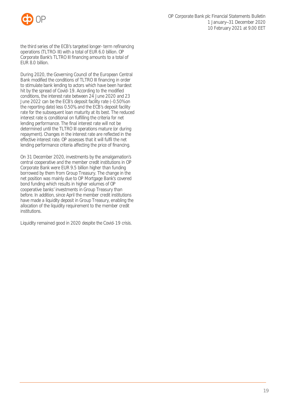

the third series of the ECB's targeted longer-term refinancing operations (TLTRO-III) with a total of EUR 6.0 billion. OP Corporate Bank's TLTRO III financing amounts to a total of EUR 8.0 billion.

During 2020, the Governing Council of the European Central Bank modified the conditions of TLTRO III financing in order to stimulate bank lending to actors which have been hardest hit by the spread of Covid-19. According to the modified conditions, the interest rate between 24 June 2020 and 23 June 2022 can be the ECB's deposit facility rate (–0.50% on the reporting date) less 0.50%, and the ECB's deposit facility rate for the subsequent loan maturity at its best. The reduced interest rate is conditional on fulfilling the criteria for net lending performance. The final interest rate will not be determined until the TLTRO III operations mature (or during repayment). Changes in the interest rate are reflected in the effective interest rate. OP assesses that it will fulfil the net lending performance criteria affecting the price of financing.

On 31 December 2020, investments by the amalgamation's central cooperative and the member credit institutions in OP Corporate Bank were EUR 9.5 billion higher than funding borrowed by them from Group Treasury. The change in the net position was mainly due to OP Mortgage Bank's covered bond funding which results in higher volumes of OP cooperative banks' investments in Group Treasury than before. In addition, since April the member credit institutions have made a liquidity deposit in Group Treasury, enabling the allocation of the liquidity requirement to the member credit institutions.

Liquidity remained good in 2020 despite the Covid-19 crisis.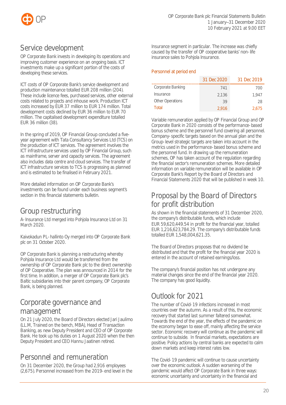

# <span id="page-20-0"></span>Service development

OP Corporate Bank invests in developing its operations and improving customer experience on an ongoing basis. ICT investments make up a significant portion of the costs of developing these services.

ICT costs of OP Corporate Bank's service development and production maintenance totalled EUR 208 million (204). These include licence fees, purchased services, other external costs related to projects and inhouse work. Production ICT costs increased by EUR 37 million to EUR 174 million. Total development costs declined by EUR 36 million to EUR 70 million. The capitalised development expenditure totalled EUR 36 million (38).

In the spring of 2019, OP Financial Group concluded a fiveyear agreement with Tata Consultancy Services Ltd (TCS) on the production of ICT services. The agreement involves the ICT infrastructure services used by OP Financial Group, such as mainframe, server and capacity services. The agreement also includes data centre and cloud services. The transfer of ICT infrastructure services to TCS is progressing as planned and is estimated to be finalised in February 2021.

More detailed information on OP Corporate Bank's investments can be found under each business segment's section in this financial statements bulletin.

# <span id="page-20-1"></span>Group restructuring

A-Insurance Ltd merged into Pohjola Insurance Ltd on 31 March 2020

Kaivokadun PL-hallinto Oy merged into OP Corporate Bank plc on 31 October 2020.

OP Corporate Bank is planning a restructuring whereby Pohjola Insurance Ltd would be transferred from the ownership of OP Corporate Bank plc to the direct ownership of OP Cooperative. The plan was announced in 2014 for the first time. In addition, a merger of OP Corporate Bank plc's Baltic subsidiaries into their parent company, OP Corporate Bank, is being planned.

# <span id="page-20-2"></span>Corporate governance and management

On 21 July 2020, the Board of Directors elected Jari Jaulimo (LL.M, Trained on the bench, MBA), Head of Transaction Banking, as new Deputy President and CEO of OP Corporate Bank. He took up his duties on 1 August 2020 when the then Deputy President and CEO Hannu Jaatinen retired.

# <span id="page-20-3"></span>Personnel and remuneration

On 31 December 2020, the Group had 2,916 employees (2,675). Personnel increased from the 2019-end level in the Insurance segment in particular. The increase was chiefly caused by the transfer of OP cooperative banks' non-life insurance sales to Pohjola Insurance.

### Personnel at period end

|                                | 31 Dec 2020 | 31 Dec 2019 |
|--------------------------------|-------------|-------------|
| <b>Corporate Banking</b>       | 741         | 700         |
| <i><u><b>Insurance</b></u></i> | 2.136       | 1.947       |
| <b>Other Operations</b>        | 39          | 28          |
| Total                          | 2.916       | 2.675       |

Variable remuneration applied by OP Financial Group and OP Corporate Bank in 2020 consists of the performance-based bonus scheme and the personnel fund covering all personnel. Company-specific targets based on the annual plan and the Group-level strategic targets are taken into account in the metrics used in the performance-based bonus scheme and the personnel fund. In drawing up the remuneration schemes, OP has taken account of the regulation regarding the financial sector's remuneration schemes. More detailed information on variable remuneration will be available in OP Corporate Bank's Report by the Board of Directors and Financial Statements 2020 that will be published in week 10.

# <span id="page-20-4"></span>Proposal by the Board of Directors for profit distribution

As shown in the financial statements of 31 December 2020, the company's distributable funds, which include EUR 59,620,449.54 in profit for the financial year, totalled EUR 1,216,623,784.29. The company's distributable funds totalled EUR 1,548,004,621.35.

The Board of Directors proposes that no dividend be distributed and that the profit for the financial year 2020 is entered in the account of retained earnings/loss.

The company's financial position has not undergone any material changes since the end of the financial year 2020. The company has good liquidity.

# <span id="page-20-5"></span>Outlook for 2021

The number of Covid-19 infections increased in most countries over the autumn. As a result of this, the economic recovery that started last summer faltered somewhat. Towards the end of the year, the effects of the pandemic on the economy began to ease off, mainly affecting the service sector. Economic recovery will continue as the pandemic will continue to subside. In financial markets, expectations are positive. Policy actions by central banks are expected to calm down markets and keep interest rates low.

The Covid-19 pandemic will continue to cause uncertainty over the economic outlook. A sudden worsening of the pandemic would affect OP Corporate Bank in three ways: economic uncertainty and uncertainty in the financial and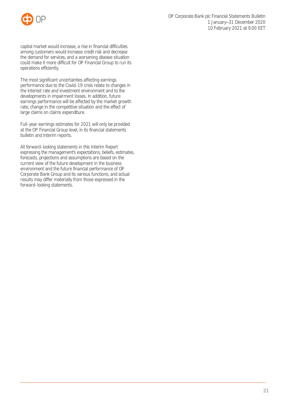

capital market would increase, a rise in financial difficulties among customers would increase credit risk and decrease the demand for services, and a worsening disease situation could make it more difficult for OP Financial Group to run its operations efficiently.

The most significant uncertainties affecting earnings performance due to the Covid-19 crisis relate to changes in the interest rate and investment environment and to the developments in impairment losses. In addition, future earnings performance will be affected by the market growth rate, change in the competitive situation and the effect of large claims on claims expenditure.

Full-year earnings estimates for 2021 will only be provided at the OP Financial Group level, in its financial statements bulletin and interim reports.

All forward-looking statements in this Interim Report expressing the management's expectations, beliefs, estimates, forecasts, projections and assumptions are based on the current view of the future development in the business environment and the future financial performance of OP Corporate Bank Group and its various functions, and actual results may differ materially from those expressed in the forward-looking statements.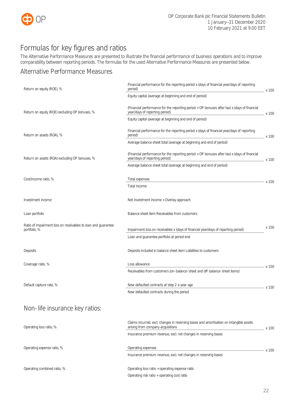

# <span id="page-22-0"></span>Formulas for key figures and ratios

The Alternative Performance Measures are presented to illustrate the financial performance of business operations and to improve comparability between reporting periods. The formulas for the used Alternative Performance Measures are presented below.

## Alternative Performance Measures

| Return on equity (ROE), %                                                     | Financial performance for the reporting period x (days of financial year/days of reporting<br>period)                          | _ x 100 |
|-------------------------------------------------------------------------------|--------------------------------------------------------------------------------------------------------------------------------|---------|
|                                                                               | Equity capital (average at beginning and end of period)                                                                        |         |
| Return on equity (ROE) excluding OP bonuses, %                                | (Financial performance for the reporting period + OP bonuses after tax) x (days of financial<br>year/days of reporting period) | _ x 100 |
|                                                                               | Equity capital (average at beginning and end of period)                                                                        |         |
| Return on assets (ROA), %                                                     | Financial performance for the reporting period x (days of financial year/days of reporting<br>period)                          | x 100   |
|                                                                               | Average balance sheet total (average at beginning and end of period)                                                           |         |
| Return on assets (ROA) excluding OP bonuses, %                                | (Financial performance for the reporting period + OP bonuses after tax) x (days of financial<br>year/days of reporting period) | x 100   |
|                                                                               | Average balance sheet total (average at beginning and end of period)                                                           |         |
| Cost/income ratio, %                                                          | Total expenses                                                                                                                 | – x 100 |
|                                                                               | Total income                                                                                                                   |         |
| Investment income                                                             | Net investment income + Overlay approach                                                                                       |         |
| Loan portfolio                                                                | Balance sheet item Receivables from customers                                                                                  |         |
| Ratio of impairment loss on receivables to loan and guarantee<br>portfolio, % | Impairment loss on receivables x (days of financial year/days of reporting period)                                             | x 100   |
|                                                                               | Loan and guarantee portfolio at period end                                                                                     |         |
| Deposits                                                                      | Deposits included in balance sheet item Liabilities to customers                                                               |         |
| Coverage ratio, %                                                             | Loss allowance                                                                                                                 | x 100   |
|                                                                               | Receivables from customers (on-balance-sheet and off-balance-sheet items)                                                      |         |
| Default capture rate, %                                                       | New defaulted contracts at step 2 a year ago                                                                                   |         |
|                                                                               | New defaulted contracts during the period                                                                                      | x 100   |
| Non-life insurance key ratios:                                                |                                                                                                                                |         |
| Operating loss ratio, %                                                       | Claims incurred, excl. changes in reserving bases and amortisation on intangible assets<br>arising from company acquisitions   | x 100   |
|                                                                               | Insurance premium revenue, excl. net changes in reserving bases                                                                |         |
| Operating expense ratio, %                                                    | Operating expenses                                                                                                             | x 100   |
|                                                                               | Insurance premium revenue, excl. net changes in reserving bases                                                                |         |
| Operating combined ratio, %                                                   | Operating loss ratio + operating expense ratio                                                                                 |         |
|                                                                               | Operating risk ratio + operating cost ratio                                                                                    |         |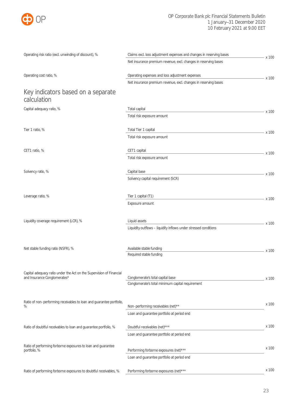

| Operating risk ratio (excl. unwinding of discount), %                                                | Claims excl. loss adjustment expenses and changes in reserving bases | – x 100   |
|------------------------------------------------------------------------------------------------------|----------------------------------------------------------------------|-----------|
|                                                                                                      | Net insurance premium revenue, excl. changes in reserving bases      |           |
| Operating cost ratio, %                                                                              | Operating expenses and loss adjustment expenses                      | – x 100   |
|                                                                                                      | Net insurance premium revenue, excl. changes in reserving bases      |           |
| Key indicators based on a separate<br>calculation                                                    |                                                                      |           |
| Capital adequacy ratio, %                                                                            | Total capital                                                        |           |
|                                                                                                      | Total risk exposure amount                                           | - x 100   |
| Tier 1 ratio, %                                                                                      | Total Tier 1 capital                                                 | - x 100   |
|                                                                                                      | Total risk exposure amount                                           |           |
| CET1 ratio, %                                                                                        | CET1 capital                                                         | $- x 100$ |
|                                                                                                      | Total risk exposure amount                                           |           |
| Solvency ratio, %                                                                                    | Capital base                                                         | x 100     |
|                                                                                                      | Solvency capital requirement (SCR)                                   |           |
| Leverage ratio, %                                                                                    | Tier 1 capital (T1)                                                  |           |
|                                                                                                      | Exposure amount                                                      | x 100     |
| Liquidity coverage requirement (LCR), %                                                              | Liquid assets                                                        | x 100     |
|                                                                                                      | Liquidity outflows - liquidity inflows under stressed conditions     |           |
| Net stable funding ratio (NSFR), %                                                                   | Available stable funding                                             |           |
|                                                                                                      | Required stable funding                                              | x 100     |
|                                                                                                      |                                                                      |           |
| Capital adequacy ratio under the Act on the Supervision of Financial<br>and Insurance Conglomerates* | Conglomerate's total capital base                                    | x 100     |
|                                                                                                      | Conglomerate's total minimum capital requirement                     |           |
| Ratio of non-performing receivables to loan and guarantee portfolio,                                 |                                                                      |           |
| $\%$                                                                                                 | Non-performing receivables (net)**                                   | x 100     |
|                                                                                                      | Loan and guarantee portfolio at period end                           |           |
| Ratio of doubtful receivables to loan and guarantee portfolio, %                                     | Doubtful receivables (net)***                                        | x 100     |
|                                                                                                      | Loan and guarantee portfolio at period end                           |           |
| Ratio of performing forborne exposures to loan and guarantee<br>portfolio, %                         | Performing forborne exposures (net)***                               | x 100     |
|                                                                                                      | Loan and guarantee portfolio at period end                           |           |
|                                                                                                      |                                                                      | x 100     |
| Ratio of performing forborne exposures to doubtful receivables, %                                    | Performing forborne exposures (net)***                               |           |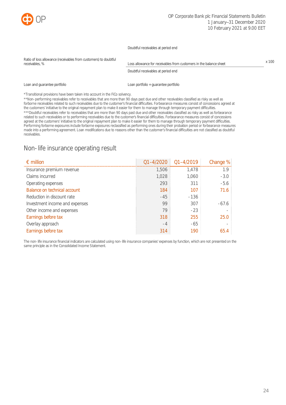

Doubtful receivables at period end

| Ratio of loss allowance (receivables from customers) to doubtful<br>receivables, % | Loss allowance for receivables from customers in the balance sheet | $x$ 100 |
|------------------------------------------------------------------------------------|--------------------------------------------------------------------|---------|
|                                                                                    | Doubtful receivables at period end                                 |         |
| Loan and quarantee portfolio                                                       | Loan portfolio + guarantee portfolio                               |         |

\*Transitional provisions have been taken into account in the FiCo solvency.

\*\*Non-performing receivables refer to receivables that are more than 90 days past due and other receivables classified as risky as well as forborne receivables related to such receivables due to the customer's financial difficulties. Forbearance measures consist of concessions agreed at the customers' initiative to the original repayment plan to make it easier for them to manage through temporary payment difficulties. \*\*\*Doubtful receivables refer to receivables that are more than 90 days past due and other receivables classified as risky as well as forbearance related to such receivables or to performing receivables due to the customer's financial difficulties. Forbearance measures consist of concessions agreed at the customers' initiative to the original repayment plan to make it easier for them to manage through temporary payment difficulties. Performing forborne exposures include forborne exposures reclassified as performing ones during their probation period or forbearance measures made into a performing agreement. Loan modifications due to reasons other than the customer's financial difficulties are not classified as doubtful receivables.

## Non-life insurance operating result

| $\epsilon$ million                  | Q1-4/2020 | $01 - 4/2019$ | Change % |
|-------------------------------------|-----------|---------------|----------|
| Insurance premium revenue           | 1.506     | 1.478         | 1.9      |
| Claims incurred                     | 1,028     | 1,060         | $-3.0$   |
| Operating expenses                  | 293       | 311           | $-5.6$   |
| <b>Balance on technical account</b> | 184       | 107           | 71.6     |
| Reduction in discount rate          | $-45$     | $-136$        |          |
| Investment income and expenses      | 99        | 307           | $-67.6$  |
| Other income and expenses           | 79        | $-23$         |          |
| Earnings before tax                 | 318       | 255           | 25.0     |
| Overlay approach                    | $-4$      | $-65$         |          |
| Earnings before tax                 | 314       | 190           |          |

The non-life insurance financial indicators are calculated using non-life insurance companies' expenses by function, which are not presented on the same principle as in the Consolidated Income Statement.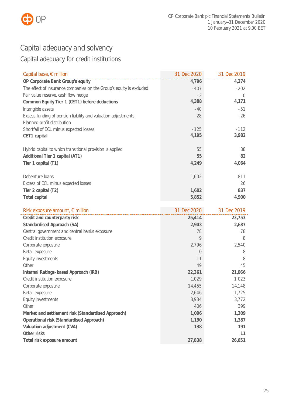

# <span id="page-25-0"></span>Capital adequacy and solvency

# Capital adequacy for credit institutions

| Capital base, $\epsilon$ million                                    | 31 Dec 2020 | 31 Dec 2019 |
|---------------------------------------------------------------------|-------------|-------------|
| OP Corporate Bank Group's equity                                    | 4,796       | 4,374       |
| The effect of insurance companies on the Group's equity is excluded | $-407$      | $-202$      |
| Fair value reserve, cash flow hedge                                 | $-2$        | $\Omega$    |
| Common Equity Tier 1 (CET1) before deductions                       | 4,388       | 4,171       |
| Intangible assets                                                   | $-40$       | -51         |
| Excess funding of pension liability and valuation adjustments       | $-28$       | $-26$       |
| Planned profit distribution                                         |             |             |
| Shortfall of ECL minus expected losses                              | $-125$      | $-112$      |
| CET1 capital                                                        | 4,195       | 3,982       |
|                                                                     |             |             |
| Hybrid capital to which transitional provision is applied           | 55          | 88          |
| Additional Tier 1 capital (AT1)                                     | 55          | 82          |
| Tier 1 capital (T1)                                                 | 4,249       | 4,064       |
|                                                                     |             |             |
| Debenture loans                                                     | 1,602       | 811         |
| Excess of ECL minus expected losses                                 |             | 26          |
| Tier 2 capital (T2)                                                 | 1,602       | 837         |
| <b>Total capital</b>                                                | 5,852       | 4,900       |

| Risk exposure amount, € million                    | 31 Dec 2020 | 31 Dec 2019 |
|----------------------------------------------------|-------------|-------------|
| Credit and counterparty risk                       | 25,414      | 23,753      |
| Standardised Approach (SA)                         | 2,943       | 2,687       |
| Central government and central banks exposure      | 78          | 78          |
| Credit institution exposure                        | 9           | 8           |
| Corporate exposure                                 | 2,796       | 2,540       |
| Retail exposure                                    | $\Omega$    | 8           |
| Equity investments                                 | 11          | 8           |
| Other                                              | 49          | 45          |
| Internal Ratings-based Approach (IRB)              | 22,361      | 21,066      |
| Credit institution exposure                        | 1,029       | 1023        |
| Corporate exposure                                 | 14,455      | 14,148      |
| Retail exposure                                    | 2,646       | 1,725       |
| Equity investments                                 | 3,934       | 3,772       |
| Other                                              | 406         | 399         |
| Market and settlement risk (Standardised Approach) | 1,096       | 1,309       |
| Operational risk (Standardised Approach)           | 1,190       | 1,387       |
| Valuation adjustment (CVA)                         | 138         | 191         |
| Other risks                                        |             | 11          |
| Total risk exposure amount                         | 27,838      | 26,651      |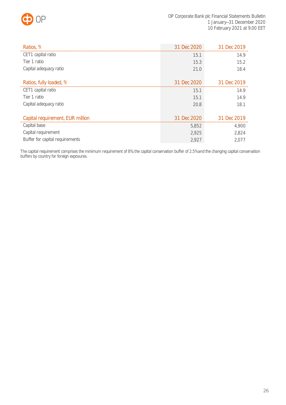

| Ratios, %                        | 31 Dec 2020 | 31 Dec 2019 |
|----------------------------------|-------------|-------------|
| CET1 capital ratio               | 15.1        | 14.9        |
| Tier 1 ratio                     | 15.3        | 15.2        |
| Capital adequacy ratio           | 21.0        | 18.4        |
|                                  |             |             |
| Ratios, fully loaded, %          | 31 Dec 2020 | 31 Dec 2019 |
| CET1 capital ratio               | 15.1        | 14.9        |
| Tier 1 ratio                     | 15.1        | 14.9        |
| Capital adequacy ratio           | 20.8        | 18.1        |
|                                  |             |             |
| Capital requirement, EUR million | 31 Dec 2020 | 31 Dec 2019 |
| Capital base                     | 5,852       | 4,900       |
| Capital requirement              | 2,925       | 2,824       |
| Buffer for capital requirements  | 2,927       | 2.077       |

The capital requirement comprises the minimum requirement of 8%, the capital conservation buffer of 2.5% and the changing capital conservation buffers by country for foreign exposures.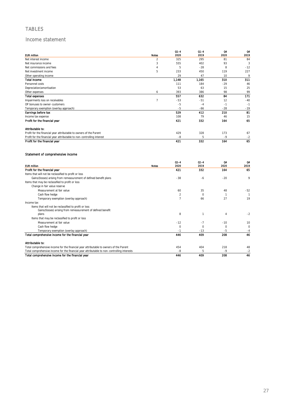## TABLES

### Income statement

| <b>EUR million</b>                                                                     | <b>Notes</b>   | $Q1 - 4$<br>2020 | $Q1 - 4$<br>2019    | Q4<br>2020     | 04<br>2019   |
|----------------------------------------------------------------------------------------|----------------|------------------|---------------------|----------------|--------------|
| Net interest income                                                                    | $\overline{2}$ | 325              | 295                 | 81             | 84           |
| Net insurance income                                                                   | 3              | 555              | 402                 | 93             | 3            |
| Net commissions and fees                                                               | 4              | 5                | $-28$               | 8              | $-12$        |
| Net investment income                                                                  | 5              | 233              | 450                 | 119            | 227          |
| Other operating income                                                                 |                | 29               | 47                  | 10             | 9            |
| <b>Total Income</b>                                                                    |                | 1,148            | 1.165               | 310            | 311          |
| Personnel costs                                                                        |                | 111              | 184                 | $-29$          | 46           |
| Depreciation/amortisation                                                              |                | 53               | 63                  | 15             | 25           |
| Other expenses                                                                         | 6              | 393              | 386                 | 98             | 99           |
| <b>Total expenses</b>                                                                  |                | 557              | 632                 | 84             | 171          |
| Impairments loss on receivables                                                        | $\overline{7}$ | $-53$            | $-51$               | 12             | $-40$        |
| OP bonuses to owner-customers                                                          |                | $-5$             | $-4$                | $-1$           | $-1$         |
| Temporary exemption (overlay approach)                                                 |                | $-5$             | -66                 | $-28$          | $-19$        |
| Earnings before tax                                                                    |                | 529              | 412                 | 210            | 81           |
| Income tax expense                                                                     |                | 108              | 79                  | 46             | 15           |
| Profit for the financial year                                                          |                | 421              | 332                 | 164            | 65           |
| Attributable to:                                                                       |                |                  |                     |                |              |
| Profit for the financial year attributable to owners of the Parent                     |                | 429              | 328                 | 173            | 67           |
| Profit for the financial year attributable to non-controlling interest                 |                | $-8$             | 5                   | $-9$           | $-2$         |
| Profit for the financial year                                                          |                | 421              | 332                 | 164            | 65           |
|                                                                                        |                | $Q1 - 4$         | $Q1 - 4$            | 04             | 04           |
| <b>EUR million</b>                                                                     | <b>Notes</b>   | 2020             | 2019                | 2020           | 2019         |
| Profit for the financial year                                                          |                | 421              | 332                 | 164            | 65           |
| Items that will not be reclassified to profit or loss                                  |                |                  |                     |                |              |
| Gains/(losses) arising from remeasurement of defined benefit plans                     |                | $-38$            | -6                  | $-20$          | 9            |
| Items that may be reclassified to profit or loss                                       |                |                  |                     |                |              |
| Change in fair value reserve                                                           |                |                  |                     |                |              |
| Measurement at fair value                                                              |                | 60               | 35                  | 48             | $-52$        |
| Cash flow hedge                                                                        |                | $\overline{a}$   | $\mathsf{O}\xspace$ | $\mathbf{1}$   | $\mathbf{1}$ |
| Temporary exemption (overlay approach)                                                 |                | $\overline{7}$   | 66                  | 27             | 19           |
| Income tax<br>Items that will not be reclassified to profit or loss                    |                |                  |                     |                |              |
| Gains/(losses) arising from remeasurement of defined benefit                           |                |                  |                     |                |              |
| plans                                                                                  |                | 8                | $\mathbf{1}$        | $\overline{4}$ | $-2$         |
| Items that may be reclassified to profit or loss                                       |                |                  |                     |                |              |
| Measurement at fair value                                                              |                | $-12$            | $-7$                | $-10$          | 10           |
| Cash flow hedge                                                                        |                | $\overline{0}$   | $\mathbf 0$         | $\mathbf 0$    | $\mathbf 0$  |
| Temporary exemption (overlay approach)                                                 |                | $-1$             | $-13$               | $-5$           | $-4$         |
| Total comprehensive income for the financial year                                      |                | 446              | 409                 | 208            | 46           |
| Attributable to:                                                                       |                |                  |                     |                |              |
| Total comprehensive income for the financial year attributable to owners of the Parent |                | 454              | 404                 | 218            | 48           |

Total comprehensive income for the financial year attributable to non-controlling interests -8 -8 5 -9 -9 -2 -2 Total comprehensive income for the financial year 446 409 208 46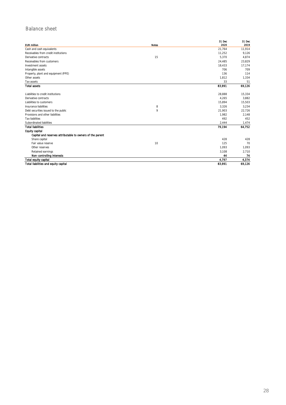## Balance sheet

| <b>EUR million</b>                                        | <b>Notes</b> | 31 Dec<br>2020 | 31 Dec<br>2019 |
|-----------------------------------------------------------|--------------|----------------|----------------|
| Cash and cash equivalents                                 |              | 21,764         | 11,914         |
| Receivables from credit institutions                      |              | 11,252         | 9,126          |
| Derivative contracts                                      | 15           | 5,370          | 4,874          |
| Receivables from customers                                |              | 24,485         | 23,829         |
| Investment assets                                         |              | 18,433         | 17,174         |
| Intangible assets                                         |              | 706            | 709            |
| Property, plant and equipment (PPE)                       |              | 136            | 114            |
| Other assets                                              |              | 1,812          | 1,334          |
| Tax assets                                                |              | 33             | 51             |
| <b>Total assets</b>                                       |              | 83,991         | 69,126         |
| Liabilities to credit institutions                        |              | 28,888         | 15,334         |
| Derivative contracts                                      |              | 4,265          | 3,882          |
| Liabilities to customers                                  |              | 15,894         | 15,503         |
| Insurance liabilities                                     | 8            | 3,326          | 3,234          |
| Debt securities issued to the public                      | 9            | 21,903         | 22,726         |
| Provisions and other liabilities                          |              | 1.982          | 2,148          |
| <b>Tax liabilities</b>                                    |              | 492            | 452            |
| Subordinated liabilities                                  |              | 2,444          | 1,474          |
| <b>Total liabilities</b>                                  |              | 79.194         | 64,752         |
| <b>Equity capital</b>                                     |              |                |                |
| Capital and reserves attributable to owners of the parent |              |                |                |
| Share capital                                             |              | 428            | 428            |
| Fair value reserve                                        | 10           | 125            | 70             |
| Other reserves                                            |              | 1,093          | 1,093          |
| Retained earnings                                         |              | 3,108          | 2,710          |
| Non-controlling interests                                 |              | 44             | 74             |
| <b>Total equity capital</b>                               |              | 4,797          | 4,374          |
| Total liabilities and equity capital                      |              | 83.991         | 69,126         |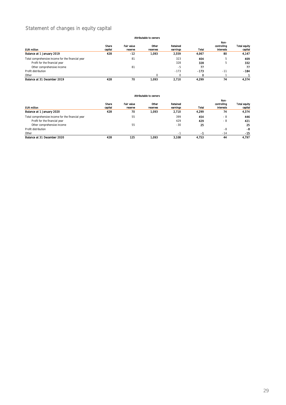## Statement of changes in equity capital

#### Attributable to owners

| AUTHOLODIC IU UWIICI S                            |         |                   |          |          |        |                  |              |
|---------------------------------------------------|---------|-------------------|----------|----------|--------|------------------|--------------|
|                                                   |         |                   |          |          |        | Non-             |              |
|                                                   | Share   | <b>Fair value</b> | Other    | Retained |        | controlling      | Total equity |
| <b>EUR million</b>                                | capital | reserve           | reserves | earnings | Total  | <b>Interests</b> | capital      |
| Balance at 1 January 2019                         | 428     | $-12$             | 1.093    | 2.559    | 4.067  | 80               | 4,147        |
| Total comprehensive income for the financial year |         | 81                |          | 323      | 404    | 5                | 409          |
| Profit for the financial year                     |         |                   |          | 328      | 328    | 5                | 332          |
| Other comprehensive income                        |         | 81                |          | -5       | 77     |                  | 77           |
| Profit distribution                               |         |                   |          | $-173$   | $-173$ | $-11$            | $-184$       |
| Other                                             |         |                   |          |          | 0      |                  |              |
| Balance at 31 December 2019                       | 428     | 70                | 1.093    | 2.710    | 4,299  | 74               | 4.374        |

#### Attributable to owners

| <b>EUR million</b><br>Balance at 1 January 2020   | Share<br>capital<br>428 | <b>Fair value</b><br>reserve<br>70 | Other<br>reserves<br>1.093 | Retained<br>earnings<br>2,710 | Total<br>4,299 | Non-<br>controlling<br><b>Interests</b><br>74 | <b>Total equity</b><br>capital<br>4,374 |
|---------------------------------------------------|-------------------------|------------------------------------|----------------------------|-------------------------------|----------------|-----------------------------------------------|-----------------------------------------|
| Total comprehensive income for the financial year |                         | 55                                 |                            | 399                           | 454            | - 8                                           | 446                                     |
| Profit for the financial year                     |                         |                                    |                            | 429                           | 429            | - 8                                           | 421                                     |
| Other comprehensive income                        |                         | 55                                 |                            | $-30$                         | 25             |                                               | 25                                      |
| Profit distribution                               |                         |                                    |                            |                               |                | -8                                            | -8                                      |
| Other                                             |                         |                                    |                            | ۰                             | -1             | $-14$                                         | $-15$                                   |
| Balance at 31 December 2020                       | 428                     | 125                                | 1.093                      | 3.108                         | 4.753          | 44                                            | 4.797                                   |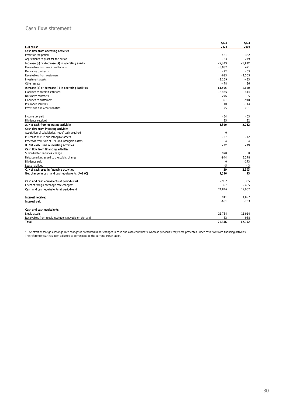## Cash flow statement

| <b>EUR million</b>                                     | $Q1 - 4$<br>2020 | $01 - 4$<br>2019 |
|--------------------------------------------------------|------------------|------------------|
| Cash flow from operating activities                    |                  |                  |
| Profit for the period                                  | 421              | 332              |
| Adjustments to profit for the period                   | $-23$            | 249              |
| Increase (-) or decrease (+) in operating assets       | $-5.383$         | $-1,482$         |
| Receivables from credit institutions                   | $-3,032$         | 471              |
| Derivative contracts                                   | $-22$            | $-53$            |
| Receivables from customers                             | $-693$           | $-1,503$         |
| Investment assets                                      | $-1,159$         | $-433$           |
| Other assets                                           | $-478$           | 36               |
| Increase (+) or decrease (-) in operating liabilities  | 13,605           | -1,110           |
| Liabilities to credit institutions                     | 13,456           | $-414$           |
| Derivative contracts                                   | $-276$           | 5                |
| Liabilities to customers                               | 391              | $-918$           |
| Insurance liabilities                                  | 10               | $-14$            |
| Provisions and other liabilities                       | 25               | 231              |
| Income tax paid                                        | $-54$            | $-53$            |
| Dividends received                                     | 25               | 32               |
| A. Net cash from operating activities                  | 8,590            | $-2.032$         |
| Cash flow from investing activities                    |                  |                  |
| Acquisition of subsidiaries, net of cash acquired      | $\mathbf 0$      |                  |
| Purchase of PPP and intangible assets                  | $-37$            | $-42$            |
| Proceeds from sale of PPE and intangible assets        | $\overline{4}$   | $\overline{4}$   |
| B. Net cash used in investing activities               | -32              | -39              |
| Cash flow from financing activities                    |                  |                  |
| Subordinated liabilities, change                       | 978              | $\mathbf 0$      |
| Debt securities issued to the public, change           | $-944$           | 2,278            |
| Dividends paid                                         | $\mathbf 0$      | $-173$           |
| Lease liabilities                                      | $-5$             | $-3$             |
| C. Net cash used in financing activities               | 29               | 2.103            |
| Net change in cash and cash equivalents (A+B+C)        | 8,586            | 33               |
| Cash and cash equivalents at period-start              | 12,902           | 13,355           |
| Effect of foreign exchange rate changes*               | 357              | $-485$           |
| Cash and cash equivalents at period-end                | 21,846           | 12,902           |
| Interest received                                      | 941              | 1,097            |
| Interest paid                                          | $-681$           | $-763$           |
| Cash and cash equivalents                              |                  |                  |
| Liquid assets                                          | 21,764           | 11,914           |
| Receivables from credit institutions payable on demand | 82               | 988              |
| <b>Total</b>                                           | 21,846           | 12.902           |

\* The effect of foreign exchange rate changes is presented under changes in cash and cash equivalents, whereas previously they were presented under cash flow from financing activities. The reference year has been adjusted to correspond to the current presentation.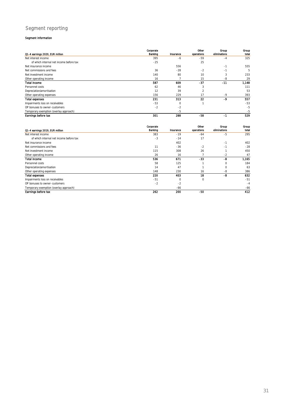## Segment reporting

#### Segment information

|                                         | Corporate |           | Other      | Group        | Group |
|-----------------------------------------|-----------|-----------|------------|--------------|-------|
| Q1-4 earnings 2020, EUR million         | Banking   | Insurance | operations | eliminations | total |
| Net interest income                     | 395       | -6        | $-59$      | $-4$         | 325   |
| of which internal net income before tax | $-25$     |           | 25         |              |       |
| Net insurance income                    |           | 556       |            | $-1$         | 555   |
| Net commissions and fees                | 36        | $-28$     | $-2$       | $-1$         | 5     |
| Net investment income                   | 140       | 80        | 10         | 3            | 233   |
| Other operating income                  | 16        |           | 15         | -8           | 29    |
| <b>Total income</b>                     | 587       | 609       | -37        | $-11$        | 1,148 |
| Personnel costs                         | 62        | 46        | 3          |              | 111   |
| Depreciation/amortisation               | 12        | 39        |            |              | 53    |
| Other operating expenses                | 156       | 229       | 17         | $-9$         | 393   |
| <b>Total expenses</b>                   | 231       | 313       | 22         | -9           | 557   |
| Impairments loss on receivables         | $-53$     | $\Omega$  |            |              | $-53$ |
| OP bonuses to owner-customers           | $-2$      | $-2$      |            |              | $-5$  |
| Temporary exemption (overlay approach)  |           | $-5$      |            |              | $-5$  |
| Earnings before tax                     | 301       | 288       | -58        | -1           | 529   |

|                                         | Corporate |           | Other      | Group        | Group |
|-----------------------------------------|-----------|-----------|------------|--------------|-------|
| Q1-4 earnings 2019, EUR million         | Banking   | Insurance | operations | eliminations | total |
| Net interest income                     | 383       | $-19$     | $-64$      | $-5$         | 295   |
| of which internal net income before tax | $-3$      | $-14$     | 17         |              |       |
| Net insurance income                    |           | 402       |            | $-1$         | 402   |
| Net commissions and fees                | 11        | $-36$     | $-2$       | $-1$         | $-28$ |
| Net investment income                   | 115       | 308       | 26         |              | 450   |
| Other operating income                  | 26        | 16        |            | $-2$         | 47    |
| <b>Total income</b>                     | 536       | 671       | $-33$      | -8           | 1,165 |
| Personnel costs                         | 58        | 125       |            | $\mathbf 0$  | 184   |
| Depreciation/amortisation               | 14        | 47        |            | $\mathbf 0$  | 63    |
| Other operating expenses                | 148       | 230       | 16         | -8           | 386   |
| <b>Total expenses</b>                   | 220       | 403       | 18         | -8           | 632   |
| Impairments loss on receivables         | $-51$     | $\Omega$  | 0          |              | $-51$ |
| OP bonuses to owner-customers           | $-2$      | $-2$      |            |              | $-4$  |
| Temporary exemption (overlay approach)  |           | $-66$     |            |              | $-66$ |
| Earnings before tax                     | 262       | 200       | -50        |              | 412   |

31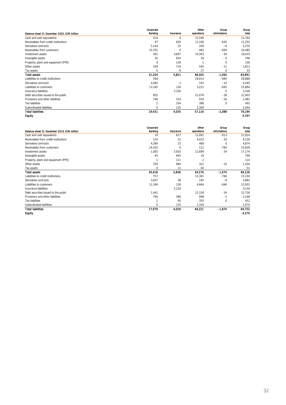|                                             | Corporate   |           | Other      | Group        | Group  |
|---------------------------------------------|-------------|-----------|------------|--------------|--------|
| Balance sheet 31 December 2020, EUR million | Banking     | Insurance | operations | eliminations | total  |
| Cash and cash equivalents                   | 224         | 0         | 21,540     |              | 21,764 |
| Receivables from credit institutions        | 97          | 620       | 11,180     | $-645$       | 11,252 |
| Derivative contracts                        | 5,144       | 25        | 209        | $-8$         | 5,370  |
| Receivables from customers                  | 24,701      | $\Omega$  | 482        | $-699$       | 24,485 |
| Investment assets                           | 491         | 3,667     | 14,303     | $-28$        | 18,433 |
| Intangible assets                           | 35          | 654       | 18         | - 0          | 706    |
| Property, plant and equipment (PPE)         | 4           | 130       |            | $\mathbf 0$  | 136    |
| Other assets                                | 559         | 719       | 545        | $-11$        | 1,812  |
| Tax assets                                  | $\mathbf 0$ | 6         | 27         | $\mathbf 0$  | 33     |
| <b>Total assets</b>                         | 31,254      | 5,821     | 48,305     | -1,390       | 83,991 |
| Liabilities to credit institutions          | 564         |           | 29.014     | $-690$       | 28,888 |
| Derivative contracts                        | 4,082       |           | 192        | $-10$        | 4,265  |
| Liabilities to customers                    | 13,182      | 136       | 3,221      | $-645$       | 15,894 |
| Insurance liabilities                       |             | 3,326     |            | $\Omega$     | 3,326  |
| Debt securities issued to the public        | 855         |           | 21,076     | $-28$        | 21,903 |
| Provisions and other liabilities            | 746         | 333       | 919        | $-16$        | 1,982  |
| <b>Tax liabilities</b>                      | 2           | 104       | 386        | 0            | 492    |
| Subordinated liabilities                    | $\Omega$    | 135       | 2,309      |              | 2,444  |
| <b>Total liabilities</b>                    | 19,431      | 4,035     | 57.116     | $-1,388$     | 79,194 |
| <b>Equity</b>                               |             |           |            |              | 4,797  |

|                                             | Corporate   |           | Other      | Group        | Group  |
|---------------------------------------------|-------------|-----------|------------|--------------|--------|
| Balance sheet 31 December 2019, EUR million | Banking     | Insurance | operations | eliminations | total  |
| Cash and cash equivalents                   | 19          | 617       | 11,891     | $-613$       | 11,914 |
| Receivables from credit institutions        | 124         | 12        | 9,023      | $-33$        | 9,126  |
| Derivative contracts                        | 4,384       | 23        | 468        | 0            | 4,874  |
| Receivables from customers                  | 24,502      | $\Omega$  | 111        | $-784$       | 23,829 |
| Investment assets                           | 1,005       | 3,503     | 12,699     | $-34$        | 17,174 |
| Intangible assets                           | 45          | 645       | 19         |              | 709    |
| Property, plant and equipment (PPE)         |             | 111       | 2          |              | 114    |
| Other assets                                | 339         | 684       | 321        | $-10$        | 1,334  |
| Tax assets                                  | $\mathbf 0$ | 11        | 40         |              | 51     |
| <b>Total assets</b>                         | 30,418      | 5,606     | 34.576     | $-1.474$     | 69,126 |
| Liabilities to credit institutions          | 757         |           | 15,361     | $-784$       | 15,334 |
| Derivative contracts                        | 3,657       | 38        | 195        | -8           | 3,882  |
| Liabilities to customers                    | 11,349      | 136       | 4,664      | $-646$       | 15,503 |
| Insurance liabilities                       |             | 3,234     |            |              | 3,234  |
| Debt securities issued to the public        | 1,441       |           | 21,318     | $-34$        | 22,726 |
| Provisions and other liabilities            | 764         | 388       | 998        | $-2$         | 2,148  |
| Tax liabilities                             | 2           | 95        | 355        | $\mathbf 0$  | 452    |
| Subordinated liabilities                    | 9           | 135       | 1,329      |              | 1,474  |
| <b>Total liabilities</b>                    | 17,979      | 4,026     | 44.221     | $-1,474$     | 64,752 |
| <b>Laulty</b>                               |             |           |            |              | 4,374  |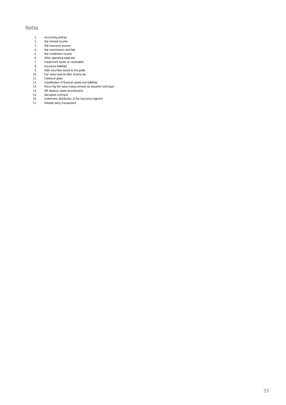### Notes

- 1. Accounting policies<br>2. Net interest income
- 2. Net interest income<br>3. Net insurance incom
- 3. Net insurance income<br>4. Net commissions and t
- 4. Net commissions and fees<br>5. Net investment income
- 6. Other operating expenses
- 5. Net investment income<br>6. Other operating expense<br>7. Impairment losses on re 7. Impairment losses on receivables
- 
- 8. Insurance liabilities<br>9. Debt securities issue 9. Debt securities issued to the public<br>10. Fair value reserve after income tax
- 10. Fair value reserve after income tax<br>11. Collateral given
- 11. Collateral given<br>12. Classification of t
- 12. Classification of financial assets and liabilities<br>13. Recurring fair value measurements by valuati
- 13. Recurring fair value measurements by valuation technique
- 14. Off-balance-sheet commitments<br>15. Derivative contracts
- 15. Derivative contracts<br>16. Investment distributi
- 16. Investment distribution of the Insurance segment<br>17. Related-party transactions
- Related-party transactions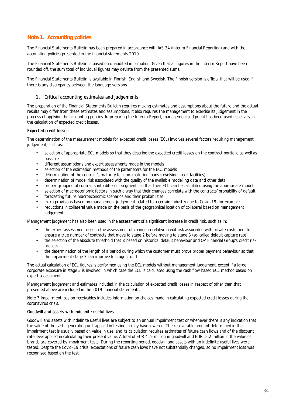## **Note 1. Accounting policies**

The Financial Statements Bulletin has been prepared in accordance with IAS 34 (Interim Financial Reporting) and with the accounting policies presented in the financial statements 2019.

The Financial Statements Bulletin is based on unaudited information. Given that all figures in the Interim Report have been rounded off, the sum total of individual figures may deviate from the presented sums.

The Financial Statements Bulletin is available in Finnish, English and Swedish. The Finnish version is official that will be used if there is any discrepancy between the language versions.

### 1. Critical accounting estimates and judgements

The preparation of the Financial Statements Bulletin requires making estimates and assumptions about the future and the actual results may differ from these estimates and assumptions. It also requires the management to exercise its judgement in the process of applying the accounting policies. In preparing the Interim Report, management judgment has been used especially in the calculation of expected credit losses.

### Expected credit losses:

The determination of the measurement models for expected credit losses (ECL) involves several factors requiring management judgement, such as:

- selection of appropriate ECL models so that they describe the expected credit losses on the contract portfolio as well as possible
- different assumptions and expert assessments made in the models
- selection of the estimation methods of the parameters for the ECL models
- determination of the contract's maturity for non-maturing loans (revolving credit facilities)
- determination of model risk associated with the quality of the available modelling data and other data
- proper grouping of contracts into different segments so that their ECL can be calculated using the appropriate model
- selection of macroeconomic factors in such a way that their changes correlate with the contracts' probability of default
- forecasting future macroeconomic scenarios and their probabilities.
- extra provisions based on management judgement related to a certain industry due to Covid-19, for example
- reductions in collateral value made on the basis of the geographical location of collateral based on management judgement

Management judgement has also been used in the assessment of a significant increase in credit risk, such as in:

- the expert assessment used in the assessment of change in relative credit risk associated with private customers to ensure a true number of contracts that move to stage 2 before moving to stage 3 (so-called default capture rate)
- the selection of the absolute threshold that is based on historical default behaviour and OP Financial Group's credit risk process
- the determination of the length of a period during which the customer must prove proper payment behaviour so that the impairment stage 3 can improve to stage 2 or 1.

The actual calculation of ECL figures is performed using the ECL models without management judgement, except if a large corporate exposure in stage 3 is involved, in which case the ECL is calculated using the cash flow based ECL method based on expert assessment.

Management judgement and estimates included in the calculation of expected credit losses in respect of other than that presented above are included in the 2019 financial statements.

Note 7 Impairment loss on receivables includes information on choices made in calculating expected credit losses during the coronavirus crisis.

### Goodwill and assets with indefinite useful lives

Goodwill and assets with indefinite useful lives are subject to an annual impairment test or whenever there is any indication that the value of the cash-generating unit applied in testing in may have lowered. The recoverable amount determined in the impairment test is usually based on value in use, and its calculation requires estimates of future cash flows and of the discount rate level applied in calculating their present value. A total of EUR 419 million in goodwill and EUR 162 million in the value of brands are covered by impairment tests. During the reporting period, goodwill and assets with an indefinite useful lives were tested. Despite the Covid-19 crisis, expectations of future cash lows have not substantially changed, so no impairment loss was recognised based on the test.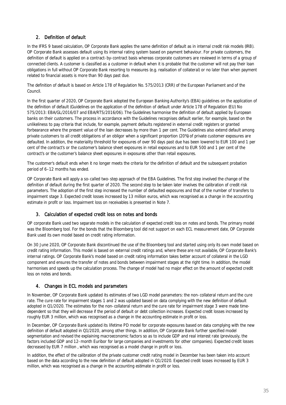## 2. Definition of default

In the IFRS 9 based calculation, OP Corporate Bank applies the same definition of default as in internal credit risk models (IRB). OP Corporate Bank assesses default using its internal rating system based on payment behaviour. For private customers, the definition of default is applied on a contract-by-contract basis whereas corporate customers are reviewed in terms of a group of connected clients. A customer is classified as a customer in default when it is probable that the customer will not pay their loan obligations in full without OP Corporate Bank resorting to measures (e.g. realisation of collateral) or no later than when payment related to financial assets is more than 90 days past due.

The definition of default is based on Article 178 of Regulation No. 575/2013 (CRR) of the European Parliament and of the Council.

In the first quarter of 2020, OP Corporate Bank adopted the European Banking Authority's (EBA) guidelines on the application of the definition of default (Guidelines on the application of the definition of default under Article 178 of Regulation (EU) No 575/2013: EBA/GL/2016/07 and EBA/RTS/2016/06). The Guidelines harmonise the definition of default applied by European banks on their customers. The process in accordance with the Guidelines recognises default earlier, for example, based on the unlikeliness to pay criteria that include, for example, payment defaults registered in external credit registers or granted forbearance where the present value of the loan decreases by more than 1 per cent. The Guidelines also extend default among private customers to all credit obligations of an obligor when a significant proportion (20%) of private customer exposures are defaulted. In addition, the materiality threshold for exposures of over 90 days past due has been lowered to EUR 100 and 1 per cent of the contract's or the customer's balance sheet exposures in retail exposures and to EUR 500 and 1 per cent of the contract's or the customer's balance sheet exposures in exposures other than retail exposures.

The customer's default ends when it no longer meets the criteria for the definition of default and the subsequent probation period of 6–12 months has ended.

OP Corporate Bank will apply a so-called two-step approach of the EBA Guidelines. The first step involved the change of the definition of default during the first quarter of 2020. The second step to be taken later involves the calibration of credit risk parameters. The adoption of the first step increased the number of defaulted exposures and that of the number of transfers to impairment stage 3. Expected credit losses increased by 13 million euros, which was recognised as a change in the accounting estimate in profit or loss. Impairment loss on receivables is presented in Note 7.

### 3. Calculation of expected credit loss on notes and bonds

OP corporate Bank used two separate models in the calculation of expected credit loss on notes and bonds. The primary model was the Bloomberg tool. For the bonds that the Bloomberg tool did not support on each ECL measurement date, OP Corporate Bank used its own model based on credit rating information.

On 30 June 2020, OP Corporate Bank discontinued the use of the Bloomberg tool and started using only its own model based on credit rating information. This model is based on external credit ratings and, where these are not available, OP Corporate Bank's internal ratings. OP Corporate Bank's model based on credit rating information takes better account of collateral in the LGD component and ensures the transfer of notes and bonds between impairment stages at the right time. In addition, the model harmonises and speeds up the calculation process. The change of model had no major effect on the amount of expected credit loss on notes and bonds.

## 4. Changes in ECL models and parameters

In November, OP Corporate Bank updated its estimates of two LGD model parameters: the non-collateral return and the cure rate. The cure rate for impairment stages 1 and 2 was updated based on data complying with the new definition of default adopted in Q1/2020. The estimates for the non-collateral return and the cure rate for impairment stage 3 were made timedependent so that they will decrease if the period of default or debt collection increases. Expected credit losses increased by roughly EUR 3 million, which was recognised as a change in the accounting estimate in profit or loss.

In December, OP Corporate Bank updated its lifetime PD model for corporate exposures based on data complying with the new definition of default adopted in Q1/2020, among other things. In addition, OP Corporate Bank further specified model segmentation and revised the explaining macroeconomic factors so as to include GDP and real interest rate (previously, the factors included GDP and 12-month Euribor for large companies and investments for other companies). Expected credit losses decreased by EUR 7 million , which was recognised as a model change in profit or loss.

In addition, the effect of the calibration of the private customer credit rating model in December has been taken into account based on the data according to the new definition of default adopted in Q1/2020. Expected credit losses increased by EUR 3 million, which was recognised as a change in the accounting estimate in profit or loss.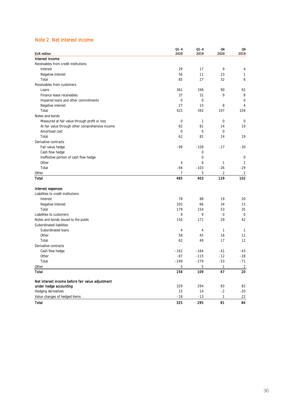## Note 2. Net interest income

|                                                  | $Q1 - 4$<br>2020 | $Q1 - 4$<br>2019 | Q4    | 04<br>2019     |
|--------------------------------------------------|------------------|------------------|-------|----------------|
| <b>EUR million</b><br>Interest income            |                  |                  | 2020  |                |
| Receivables from credit institutions             |                  |                  |       |                |
| Interest                                         | 29               | 17               | 9     | 4              |
| Negative interest                                | 56               | 11               | 23    | $\mathbf{1}$   |
| Total                                            | 85               | 27               | 32    | 6              |
| Receivables from customers                       |                  |                  |       |                |
| Loans                                            | 361              | 346              | 90    | 92             |
| Finance lease receivables                        | 37               | 31               | 9     | 8              |
| Impaired loans and other commitments             | 0                | 0                |       | $\mathbf 0$    |
| Negative interest                                | 27               | 15               | 8     | 4              |
| Total                                            | 425              | 392              | 107   | 104            |
| Notes and bonds                                  |                  |                  |       |                |
| Measured at fair value through profit or loss    | 0                | 1                | 0     | 0              |
| At fair value through other comprehensive income | 62               | 81               | 14    | 19             |
| Amortised cost                                   | 0                | 0                | 0     |                |
| Total                                            | 62               | 81               | 14    | 19             |
| Derivative contracts                             |                  |                  |       |                |
| Fair value hedge                                 | -99              | $-109$           | $-27$ | -30            |
| Cash flow hedge                                  |                  | 0                |       |                |
| Ineffective portion of cash flow hedge           |                  | 0                |       | 0              |
| Other                                            | 4                | 6                | 1     | 2              |
| Total                                            | $-94$            | $-103$           | $-26$ | $-29$          |
| Other                                            | 7                | 5                | 2     | 2              |
| <b>Total</b>                                     | 485              | 403              | 129   | 102            |
|                                                  |                  |                  |       |                |
| Interest expenses                                |                  |                  |       |                |
| Liabilities to credit institutions               |                  |                  |       |                |
| Interest                                         | 78               | 88               | 19    | 20             |
| Negative interest                                | 102              | 66               | 34    | 15             |
| Total                                            | 179              | 154              | 53    | 35             |
| Liabilities to customers                         | 9                | 9                | 0     | 0              |
| Notes and bonds issued to the public             | 150              | 171              | 29    | 42             |
| Subordinated liabilities                         |                  |                  |       |                |
| Subordinated loans                               | 4                | 4                | 1     | $\mathbf{1}$   |
| Other                                            | 58               | 45               | 16    | 11             |
| Total                                            | 62               | 49               | 17    | 12             |
| Derivative contracts                             |                  |                  |       |                |
| Cash flow hedge                                  | $-162$           | $-164$           | -41   | -43            |
| Other                                            | $-87$            | $-115$           | $-12$ | $-28$          |
| Total                                            | 249              | $-279$           | $-53$ | $-71$          |
| Other                                            | 5                | 5                | 1     | $\overline{2}$ |
| Total                                            | 156              | 109              | 47    | 20             |
| Net interest income before fair value adjustment |                  |                  |       |                |
| under hedge accounting                           | 329              | 294              | 83    | 82             |
| Hedging derivatives                              | 15               | 14               | $-2$  | $-20$          |
| Value changes of hedged items                    | $-18$            | -13              | 1     | 22             |
| <b>Total</b>                                     | 325              | 295              | 81    | 84             |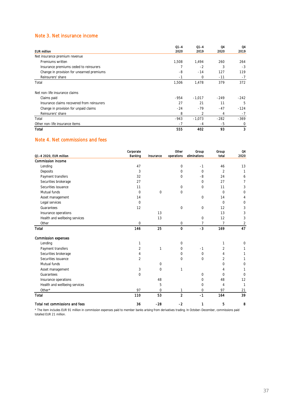## Note 3. Net insurance income

|                                            | $Q1 - 4$ | $Q1 - 4$ | Q4     | Q4     |
|--------------------------------------------|----------|----------|--------|--------|
| <b>EUR million</b>                         | 2020     | 2019     | 2020   | 2019   |
| Net insurance premium revenue              |          |          |        |        |
| Premiums written                           | 1,508    | 1,494    | 260    | 264    |
| Insurance premiums ceded to reinsurers     |          | $-2$     | 3      | $-3$   |
| Change in provision for unearned premiums  | -8       | $-14$    | 127    | 119    |
| Reinsurers' share                          | $-1$     | $\Omega$ | $-11$  | $-7$   |
| Total                                      | 1,506    | 1,478    | 379    | 372    |
| Net non-life insurance claims              |          |          |        |        |
| Claims paid                                | $-954$   | $-1.017$ | $-249$ | $-242$ |
| Insurance claims recovered from reinsurers | 27       | 21       | 11     | 5      |
| Change in provision for unpaid claims      | $-24$    | $-79$    | $-47$  | $-124$ |
| Reinsurers' share                          | 8        | 2        | 4      | $-7$   |
| Total                                      | -943     | $-1,073$ | $-282$ | $-369$ |
| Other non-life insurance items             | -7       | -4       | -5     | 0      |
| Total                                      | 555      | 402      | 93     | 3      |

### Note 4. Net commissions and fees

|                                | Corporate   |             | Other          | Group        | Group          | 04             |
|--------------------------------|-------------|-------------|----------------|--------------|----------------|----------------|
| Q1-4 2020, EUR million         | Banking     | Insurance   | operations     | eliminations | total          | 2020           |
| <b>Commission income</b>       |             |             |                |              |                |                |
| Lending                        | 47          |             | 0              | $-1$         | 46             | 13             |
| Deposits                       | 3           |             | $\mathbf 0$    | $\mathbf 0$  | $\overline{2}$ | $\mathbf{1}$   |
| Payment transfers              | 32          |             | 0              | -8           | 24             | 6              |
| Securities brokerage           | 27          |             |                | $\Omega$     | 27             | $\overline{7}$ |
| Securities issuance            | 11          |             | $\mathbf 0$    | 0            | 11             | 3              |
| Mutual funds                   | $\mathbf 0$ | $\mathbf 0$ | 0              |              | $\Omega$       | $\mathbf 0$    |
| Asset management               | 14          |             |                | 0            | 14             | 4              |
| Legal services                 | $\mathbf 0$ |             |                |              | $\mathbf 0$    | 0              |
| Guarantees                     | 12          |             | $\mathbf 0$    | 0            | 12             | 3              |
| Insurance operations           |             | 13          |                |              | 13             | 3              |
| Health and wellbeing services  |             | 13          |                | 0            | 12             | 3              |
| Other                          | 0           |             | 0              | 7            | 7              | $\overline{2}$ |
| Total                          | 146         | 25          | 0              | $-3$         | 169            | 47             |
| <b>Commission expenses</b>     |             |             |                |              |                |                |
| Lending                        | 1           |             | 0              |              | 1              | $\mathbf 0$    |
| Payment transfers              | 2           | 1           | 0              | $-1$         | 2              | 1              |
| Securities brokerage           | 4           |             | $\Omega$       | 0            | 4              | 1              |
| Securities issuance            | 2           |             | $\Omega$       | 0            | $\overline{2}$ | 1              |
| Mutual funds                   |             | 0           |                |              | 0              | 0              |
| Asset management               | 3           | $\mathbf 0$ | $\mathbf{1}$   |              | 4              | 1              |
| Guarantees                     | 0           |             |                | 0            | $\Omega$       | 0              |
| Insurance operations           |             | 48          |                | 0            | 48             | 12             |
| Health and wellbeing services  |             | 5           |                | 0            | 4              | $\mathbf{1}$   |
| Other*                         | 97          | 0           | 1              | 0            | 97             | 21             |
| Total                          | 110         | 53          | $\overline{2}$ | $-1$         | 164            | 39             |
| Total net commissions and fees | 36          | $-28$       | $-2$           | 1            | 5              | 8              |

\* The item includes EUR 91 million in commission expenses paid to member banks arising from derivatives trading. In October–December, commissions paid totalled EUR 21 million.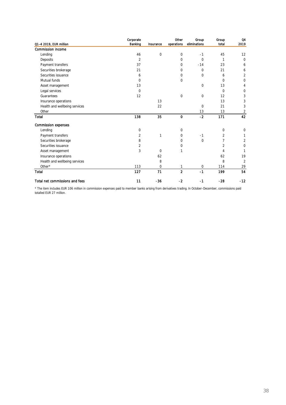|                                | Corporate      |             | Other          | Group        | Group    | Q4             |
|--------------------------------|----------------|-------------|----------------|--------------|----------|----------------|
| Q1-4 2019, EUR million         | Banking        | Insurance   | operations     | eliminations | total    | 2019           |
| <b>Commission income</b>       |                |             |                |              |          |                |
| Lending                        | 46             | 0           | 0              | $-1$         | 45       | 12             |
| Deposits                       | 2              |             | 0              | $\mathbf 0$  | 1        | 0              |
| Payment transfers              | 37             |             | 0              | $-14$        | 23       | 6              |
| Securities brokerage           | 21             |             | 0              | $\mathbf 0$  | 21       | 6              |
| Securities issuance            | 6              |             | 0              | $\mathbf 0$  | 6        | 2              |
| Mutual funds                   | 0              |             | 0              |              | 0        | $\mathbf 0$    |
| Asset management               | 13             |             |                | $\mathbf 0$  | 13       | 4              |
| Legal services                 | $\Omega$       |             |                |              | $\Omega$ | 0              |
| Guarantees                     | 12             |             | 0              | $\mathbf 0$  | 12       | 3              |
| Insurance operations           |                | 13          |                |              | 13       | 3              |
| Health and wellbeing services  |                | 22          |                | $\mathbf 0$  | 21       | 3              |
| Other                          |                |             |                | 13           | 13       | 2              |
| <b>Total</b>                   | 138            | 35          | $\mathbf 0$    | $-2$         | 171      | 42             |
| <b>Commission expenses</b>     |                |             |                |              |          |                |
| Lending                        | 0              |             | 0              |              | 0        | 0              |
| Payment transfers              | $\overline{2}$ | 1           | 0              | $-1$         | 2        | 1              |
| Securities brokerage           | 8              |             | 0              | $\mathbf 0$  | 7        | $\overline{2}$ |
| Securities issuance            | 2              |             | 0              |              | 2        | 0              |
| Asset management               | 3              | $\mathbf 0$ | 1              |              | 4        | 1              |
| Insurance operations           |                | 62          |                |              | 62       | 19             |
| Health and wellbeing services  |                | 8           |                |              | 8        | 2              |
| Other*                         | 113            | 0           | 1              | 0            | 114      | 29             |
| <b>Total</b>                   | 127            | 71          | $\overline{2}$ | $-1$         | 199      | 54             |
| Total net commissions and fees | 11             | $-36$       | $-2$           | $-1$         | $-28$    | $-12$          |

\* The item includes EUR 106 million in commission expenses paid to member banks arising from derivatives trading. In October–December, commissions paid totalled EUR 27 million.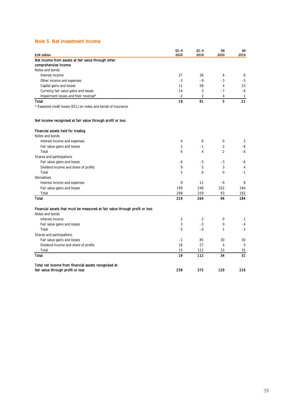## Note 5. Net investment income

| Net income from assets at fair value through other<br>comprehensive income<br>Notes and bonds<br>Interest income<br>27<br>36<br>6<br>8<br>$-3$<br>$-9$<br>$-3$<br>$-5$<br>Other income and expenses<br>11<br>4<br>23<br>Capital gains and losses<br>58<br>$-14$<br>Currency fair value gains and losses<br>3<br>$-7$<br>-6<br>$-2$<br>2<br>Impairment losses and their reversal*<br>4<br>$\mathbf{1}$<br>5<br>19<br>91<br>21<br>Total<br>* Expected credit losses (ECL) on notes and bonds of insurance<br>Net income recognised at fair value through profit or loss<br>Financial assets held for trading<br>Notes and bonds<br>0<br>Interest income and expenses<br>4<br>6<br>2<br>$\overline{c}$<br>$\overline{2}$<br>$-1$<br>-8<br>Fair value gains and losses<br>$\overline{c}$<br>Total<br>6<br>4<br>-6<br>Shares and participations<br>Fair value gains and losses<br>-3<br>$-4$<br>-5<br>-6<br>9<br>5<br>3<br>Dividend income and share of profits<br>4<br>5<br>0<br>0<br>Total<br>$-1$<br>Derivatives<br>$-9$<br>9<br>11<br>Interest income and expenses<br>8<br>199<br>248<br>Fair value gains and losses<br>102<br>184<br>208<br>259<br>93<br>192<br>Total<br>96<br>184<br><b>Total</b><br>219<br>264<br>Financial assets that must be measured at fair value through profit or loss<br>Notes and bonds<br>$\overline{2}$<br>$\mathbf 0$<br>Interest income<br>2<br>$\mathbf{1}$<br>3<br>$-3$<br>0<br>Fair value gains and losses<br>$-4$<br>5<br>Total<br>$-0$<br>1<br>$-3$<br>Shares and participations<br>Fair value gains and losses<br>85<br>30<br>$-1$<br>30<br>16<br>27<br>5<br>Dividend income and share of profits<br>4<br>Total<br>15<br>112<br>33<br>35<br>19<br>112<br>31<br><b>Total</b><br>34<br>Total net income from financial assets recognised at<br>238<br>375<br>129<br>fair value through profit or loss<br>216 | <b>EUR million</b> | $Q1 - 4$<br>2020 | $Q1 - 4$<br>2019 | Q4<br>2020 | Q4<br>2019 |
|-------------------------------------------------------------------------------------------------------------------------------------------------------------------------------------------------------------------------------------------------------------------------------------------------------------------------------------------------------------------------------------------------------------------------------------------------------------------------------------------------------------------------------------------------------------------------------------------------------------------------------------------------------------------------------------------------------------------------------------------------------------------------------------------------------------------------------------------------------------------------------------------------------------------------------------------------------------------------------------------------------------------------------------------------------------------------------------------------------------------------------------------------------------------------------------------------------------------------------------------------------------------------------------------------------------------------------------------------------------------------------------------------------------------------------------------------------------------------------------------------------------------------------------------------------------------------------------------------------------------------------------------------------------------------------------------------------------------------------------------------------------------------------------------------------------------------------------------------|--------------------|------------------|------------------|------------|------------|
|                                                                                                                                                                                                                                                                                                                                                                                                                                                                                                                                                                                                                                                                                                                                                                                                                                                                                                                                                                                                                                                                                                                                                                                                                                                                                                                                                                                                                                                                                                                                                                                                                                                                                                                                                                                                                                                 |                    |                  |                  |            |            |
|                                                                                                                                                                                                                                                                                                                                                                                                                                                                                                                                                                                                                                                                                                                                                                                                                                                                                                                                                                                                                                                                                                                                                                                                                                                                                                                                                                                                                                                                                                                                                                                                                                                                                                                                                                                                                                                 |                    |                  |                  |            |            |
|                                                                                                                                                                                                                                                                                                                                                                                                                                                                                                                                                                                                                                                                                                                                                                                                                                                                                                                                                                                                                                                                                                                                                                                                                                                                                                                                                                                                                                                                                                                                                                                                                                                                                                                                                                                                                                                 |                    |                  |                  |            |            |
|                                                                                                                                                                                                                                                                                                                                                                                                                                                                                                                                                                                                                                                                                                                                                                                                                                                                                                                                                                                                                                                                                                                                                                                                                                                                                                                                                                                                                                                                                                                                                                                                                                                                                                                                                                                                                                                 |                    |                  |                  |            |            |
|                                                                                                                                                                                                                                                                                                                                                                                                                                                                                                                                                                                                                                                                                                                                                                                                                                                                                                                                                                                                                                                                                                                                                                                                                                                                                                                                                                                                                                                                                                                                                                                                                                                                                                                                                                                                                                                 |                    |                  |                  |            |            |
|                                                                                                                                                                                                                                                                                                                                                                                                                                                                                                                                                                                                                                                                                                                                                                                                                                                                                                                                                                                                                                                                                                                                                                                                                                                                                                                                                                                                                                                                                                                                                                                                                                                                                                                                                                                                                                                 |                    |                  |                  |            |            |
|                                                                                                                                                                                                                                                                                                                                                                                                                                                                                                                                                                                                                                                                                                                                                                                                                                                                                                                                                                                                                                                                                                                                                                                                                                                                                                                                                                                                                                                                                                                                                                                                                                                                                                                                                                                                                                                 |                    |                  |                  |            |            |
|                                                                                                                                                                                                                                                                                                                                                                                                                                                                                                                                                                                                                                                                                                                                                                                                                                                                                                                                                                                                                                                                                                                                                                                                                                                                                                                                                                                                                                                                                                                                                                                                                                                                                                                                                                                                                                                 |                    |                  |                  |            |            |
|                                                                                                                                                                                                                                                                                                                                                                                                                                                                                                                                                                                                                                                                                                                                                                                                                                                                                                                                                                                                                                                                                                                                                                                                                                                                                                                                                                                                                                                                                                                                                                                                                                                                                                                                                                                                                                                 |                    |                  |                  |            |            |
|                                                                                                                                                                                                                                                                                                                                                                                                                                                                                                                                                                                                                                                                                                                                                                                                                                                                                                                                                                                                                                                                                                                                                                                                                                                                                                                                                                                                                                                                                                                                                                                                                                                                                                                                                                                                                                                 |                    |                  |                  |            |            |
|                                                                                                                                                                                                                                                                                                                                                                                                                                                                                                                                                                                                                                                                                                                                                                                                                                                                                                                                                                                                                                                                                                                                                                                                                                                                                                                                                                                                                                                                                                                                                                                                                                                                                                                                                                                                                                                 |                    |                  |                  |            |            |
|                                                                                                                                                                                                                                                                                                                                                                                                                                                                                                                                                                                                                                                                                                                                                                                                                                                                                                                                                                                                                                                                                                                                                                                                                                                                                                                                                                                                                                                                                                                                                                                                                                                                                                                                                                                                                                                 |                    |                  |                  |            |            |
|                                                                                                                                                                                                                                                                                                                                                                                                                                                                                                                                                                                                                                                                                                                                                                                                                                                                                                                                                                                                                                                                                                                                                                                                                                                                                                                                                                                                                                                                                                                                                                                                                                                                                                                                                                                                                                                 |                    |                  |                  |            |            |
|                                                                                                                                                                                                                                                                                                                                                                                                                                                                                                                                                                                                                                                                                                                                                                                                                                                                                                                                                                                                                                                                                                                                                                                                                                                                                                                                                                                                                                                                                                                                                                                                                                                                                                                                                                                                                                                 |                    |                  |                  |            |            |
|                                                                                                                                                                                                                                                                                                                                                                                                                                                                                                                                                                                                                                                                                                                                                                                                                                                                                                                                                                                                                                                                                                                                                                                                                                                                                                                                                                                                                                                                                                                                                                                                                                                                                                                                                                                                                                                 |                    |                  |                  |            |            |
|                                                                                                                                                                                                                                                                                                                                                                                                                                                                                                                                                                                                                                                                                                                                                                                                                                                                                                                                                                                                                                                                                                                                                                                                                                                                                                                                                                                                                                                                                                                                                                                                                                                                                                                                                                                                                                                 |                    |                  |                  |            |            |
|                                                                                                                                                                                                                                                                                                                                                                                                                                                                                                                                                                                                                                                                                                                                                                                                                                                                                                                                                                                                                                                                                                                                                                                                                                                                                                                                                                                                                                                                                                                                                                                                                                                                                                                                                                                                                                                 |                    |                  |                  |            |            |
|                                                                                                                                                                                                                                                                                                                                                                                                                                                                                                                                                                                                                                                                                                                                                                                                                                                                                                                                                                                                                                                                                                                                                                                                                                                                                                                                                                                                                                                                                                                                                                                                                                                                                                                                                                                                                                                 |                    |                  |                  |            |            |
|                                                                                                                                                                                                                                                                                                                                                                                                                                                                                                                                                                                                                                                                                                                                                                                                                                                                                                                                                                                                                                                                                                                                                                                                                                                                                                                                                                                                                                                                                                                                                                                                                                                                                                                                                                                                                                                 |                    |                  |                  |            |            |
|                                                                                                                                                                                                                                                                                                                                                                                                                                                                                                                                                                                                                                                                                                                                                                                                                                                                                                                                                                                                                                                                                                                                                                                                                                                                                                                                                                                                                                                                                                                                                                                                                                                                                                                                                                                                                                                 |                    |                  |                  |            |            |
|                                                                                                                                                                                                                                                                                                                                                                                                                                                                                                                                                                                                                                                                                                                                                                                                                                                                                                                                                                                                                                                                                                                                                                                                                                                                                                                                                                                                                                                                                                                                                                                                                                                                                                                                                                                                                                                 |                    |                  |                  |            |            |
|                                                                                                                                                                                                                                                                                                                                                                                                                                                                                                                                                                                                                                                                                                                                                                                                                                                                                                                                                                                                                                                                                                                                                                                                                                                                                                                                                                                                                                                                                                                                                                                                                                                                                                                                                                                                                                                 |                    |                  |                  |            |            |
|                                                                                                                                                                                                                                                                                                                                                                                                                                                                                                                                                                                                                                                                                                                                                                                                                                                                                                                                                                                                                                                                                                                                                                                                                                                                                                                                                                                                                                                                                                                                                                                                                                                                                                                                                                                                                                                 |                    |                  |                  |            |            |
|                                                                                                                                                                                                                                                                                                                                                                                                                                                                                                                                                                                                                                                                                                                                                                                                                                                                                                                                                                                                                                                                                                                                                                                                                                                                                                                                                                                                                                                                                                                                                                                                                                                                                                                                                                                                                                                 |                    |                  |                  |            |            |
|                                                                                                                                                                                                                                                                                                                                                                                                                                                                                                                                                                                                                                                                                                                                                                                                                                                                                                                                                                                                                                                                                                                                                                                                                                                                                                                                                                                                                                                                                                                                                                                                                                                                                                                                                                                                                                                 |                    |                  |                  |            |            |
|                                                                                                                                                                                                                                                                                                                                                                                                                                                                                                                                                                                                                                                                                                                                                                                                                                                                                                                                                                                                                                                                                                                                                                                                                                                                                                                                                                                                                                                                                                                                                                                                                                                                                                                                                                                                                                                 |                    |                  |                  |            |            |
|                                                                                                                                                                                                                                                                                                                                                                                                                                                                                                                                                                                                                                                                                                                                                                                                                                                                                                                                                                                                                                                                                                                                                                                                                                                                                                                                                                                                                                                                                                                                                                                                                                                                                                                                                                                                                                                 |                    |                  |                  |            |            |
|                                                                                                                                                                                                                                                                                                                                                                                                                                                                                                                                                                                                                                                                                                                                                                                                                                                                                                                                                                                                                                                                                                                                                                                                                                                                                                                                                                                                                                                                                                                                                                                                                                                                                                                                                                                                                                                 |                    |                  |                  |            |            |
|                                                                                                                                                                                                                                                                                                                                                                                                                                                                                                                                                                                                                                                                                                                                                                                                                                                                                                                                                                                                                                                                                                                                                                                                                                                                                                                                                                                                                                                                                                                                                                                                                                                                                                                                                                                                                                                 |                    |                  |                  |            |            |
|                                                                                                                                                                                                                                                                                                                                                                                                                                                                                                                                                                                                                                                                                                                                                                                                                                                                                                                                                                                                                                                                                                                                                                                                                                                                                                                                                                                                                                                                                                                                                                                                                                                                                                                                                                                                                                                 |                    |                  |                  |            |            |
|                                                                                                                                                                                                                                                                                                                                                                                                                                                                                                                                                                                                                                                                                                                                                                                                                                                                                                                                                                                                                                                                                                                                                                                                                                                                                                                                                                                                                                                                                                                                                                                                                                                                                                                                                                                                                                                 |                    |                  |                  |            |            |
|                                                                                                                                                                                                                                                                                                                                                                                                                                                                                                                                                                                                                                                                                                                                                                                                                                                                                                                                                                                                                                                                                                                                                                                                                                                                                                                                                                                                                                                                                                                                                                                                                                                                                                                                                                                                                                                 |                    |                  |                  |            |            |
|                                                                                                                                                                                                                                                                                                                                                                                                                                                                                                                                                                                                                                                                                                                                                                                                                                                                                                                                                                                                                                                                                                                                                                                                                                                                                                                                                                                                                                                                                                                                                                                                                                                                                                                                                                                                                                                 |                    |                  |                  |            |            |
|                                                                                                                                                                                                                                                                                                                                                                                                                                                                                                                                                                                                                                                                                                                                                                                                                                                                                                                                                                                                                                                                                                                                                                                                                                                                                                                                                                                                                                                                                                                                                                                                                                                                                                                                                                                                                                                 |                    |                  |                  |            |            |
|                                                                                                                                                                                                                                                                                                                                                                                                                                                                                                                                                                                                                                                                                                                                                                                                                                                                                                                                                                                                                                                                                                                                                                                                                                                                                                                                                                                                                                                                                                                                                                                                                                                                                                                                                                                                                                                 |                    |                  |                  |            |            |
|                                                                                                                                                                                                                                                                                                                                                                                                                                                                                                                                                                                                                                                                                                                                                                                                                                                                                                                                                                                                                                                                                                                                                                                                                                                                                                                                                                                                                                                                                                                                                                                                                                                                                                                                                                                                                                                 |                    |                  |                  |            |            |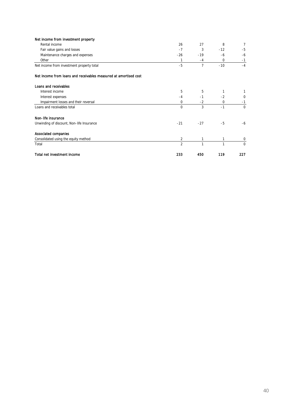| Net income from investment property                              |                |                |       |          |
|------------------------------------------------------------------|----------------|----------------|-------|----------|
| Rental income                                                    | 26             | 27             | 8     | 7        |
| Fair value gains and losses                                      | $-7$           | 3              | $-12$ | $-5$     |
| Maintenance charges and expenses                                 | $-26$          | $-19$          | -6    | -6       |
| Other                                                            | 1              | $-4$           | 0     | $-1$     |
| Net income from investment property total                        | $-5$           | $\overline{7}$ | $-10$ | $-4$     |
| Net income from loans and receivables measured at amortised cost |                |                |       |          |
| Loans and receivables                                            |                |                |       |          |
| Interest income                                                  | 5              | 5              | 1     |          |
| Interest expenses                                                | $-4$           | $-1$           | $-2$  | 0        |
| Impairment losses and their reversal                             | 0              | $-2$           | 0     | $-1$     |
| Loans and receivables total                                      | $\mathbf 0$    | 3              | $-1$  | $\Omega$ |
| Non-life insurance                                               |                |                |       |          |
| Unwinding of discount, Non-life Insurance                        | $-21$          | $-27$          | $-5$  | $-6$     |
| <b>Associated companies</b>                                      |                |                |       |          |
| Consolidated using the equity method                             | 2              | 1              | 1     | 0        |
| Total                                                            | $\overline{2}$ | 1              | 1     | $\Omega$ |
| Total net investment income                                      | 233            | 450            | 119   | 227      |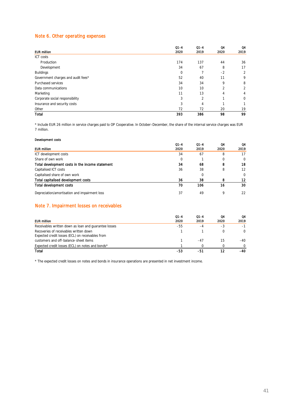## Note 6. Other operating expenses

|                                    | $Q1 - 4$    | $Q1 - 4$ | Q4   | Q4          |
|------------------------------------|-------------|----------|------|-------------|
| <b>EUR million</b>                 | 2020        | 2019     | 2020 | 2019        |
| <b>ICT</b> costs                   |             |          |      |             |
| Production                         | 174         | 137      | 44   | 36          |
| Development                        | 34          | 67       | 8    | 17          |
| <b>Buildings</b>                   | $\mathbf 0$ |          | $-2$ | 2           |
| Government charges and audit fees* | 52          | 40       | 11   | 9           |
| Purchased services                 | 34          | 34       | 9    | 8           |
| Data communications                | 10          | 10       | 2    | 2           |
| Marketing                          | 11          | 13       | 4    | 4           |
| Corporate social responsibility    | 3           | 2        | ◀    | $\mathbf 0$ |
| Insurance and security costs       | 3           | 4        | ◢    |             |
| Other                              | 72          | 72       | 20   | 19          |
| Total                              | 393         | 386      | 98   | 99          |

\* Include EUR 26 million in service charges paid to OP Cooperative. In October–December, the share of the internal service charges was EUR 7 million.

#### Development costs

|                                                 | $Q1 - 4$ | $Q1 - 4$ | Q4       | Q4       |
|-------------------------------------------------|----------|----------|----------|----------|
| <b>EUR million</b>                              | 2020     | 2019     | 2020     | 2019     |
| ICT development costs                           | 34       | 67       | 8        | 17       |
| Share of own work                               | 0        |          | $\Omega$ | $\Omega$ |
| Total development costs in the income statement | 34       | 68       | 8        | 18       |
| Capitalised ICT costs                           | 36       | 38       | 8        | 12       |
| Capitalised share of own work                   |          | 0        |          | $\Omega$ |
| Total capitalised development costs             | 36       | 38       | 8        | 12       |
| <b>Total development costs</b>                  | 70       | 106      | 16       | 30       |
| Depreciation/amortisation and impairment loss   | 37       | 49       | 9        | 22       |

## Note 7. Impairment losses on receivables

| <b>EUR million</b>                                                                         | $Q1 - 4$<br>2020 | $Q1 - 4$<br>2019 | Ω4<br>2020 | Q4<br>2019 |
|--------------------------------------------------------------------------------------------|------------------|------------------|------------|------------|
| Receivables written down as loan and quarantee losses                                      | -55              | -4               | -3         | $-1$       |
| Recoveries of receivables written down<br>Expected credit losses (ECL) on receivables from |                  |                  |            |            |
| customers and off-balance-sheet items                                                      |                  | -47              | 15         | -40        |
| Expected credit losses (ECL) on notes and bonds*                                           |                  |                  |            |            |
| Total                                                                                      | -53              | -51              |            | -40        |

\* The expected credit losses on notes and bonds in insurance operations are presented in net investment income.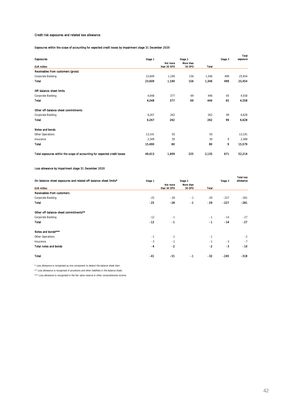#### Credit risk exposures and related loss allowance

Exposures within the scope of accounting for expected credit losses by impairment stage 31 December 2020

|                                                                           |         |                         |                     |       |         | Total    |
|---------------------------------------------------------------------------|---------|-------------------------|---------------------|-------|---------|----------|
| <b>Exposures</b>                                                          | Stage 1 | Stage 2                 |                     |       | Stage 3 | exposure |
| <b>EUR million</b>                                                        |         | Not more<br>than 30 DPD | More than<br>30 DPD | Total |         |          |
| Receivables from customers (gross)                                        |         |                         |                     |       |         |          |
| Corporate Banking                                                         | 23,609  | 1.190                   | 156                 | 1,346 | 499     | 25,454   |
| Total                                                                     | 23,609  | 1,190                   | 156                 | 1,346 | 499     | 25,454   |
| Off-balance-sheet limits                                                  |         |                         |                     |       |         |          |
| Corporate Banking                                                         | 4,048   | 377                     | 69                  | 446   | 65      | 4,558    |
| <b>Total</b>                                                              | 4,048   | 377                     | 69                  | 446   | 65      | 4,558    |
| Other off-balance-sheet commitments                                       |         |                         |                     |       |         |          |
| Corporate Banking                                                         | 6.267   | 262                     |                     | 262   | 99      | 6,628    |
| Total                                                                     | 6,267   | 262                     |                     | 262   | 99      | 6,628    |
| Notes and bonds                                                           |         |                         |                     |       |         |          |
| Other Operations                                                          | 13.141  | 50                      |                     | 50    |         | 13,191   |
| Insurance                                                                 | 2.349   | 30                      |                     | 30    | 9       | 2,388    |
| <b>Total</b>                                                              | 15,490  | 80                      |                     | 80    | 9       | 15,579   |
| Total exposures within the scope of accounting for expected credit losses | 49,413  | 1,909                   | 225                 | 2,135 | 671     | 52,219   |

#### Loss allowance by impairment stage 31 December 2020

| On-balance-sheet exposures and related off-balance-sheet limits* | Stage 1 |                         | Stage 2             |       | Stage 3 | <b>Total loss</b><br>allowance |
|------------------------------------------------------------------|---------|-------------------------|---------------------|-------|---------|--------------------------------|
| <b>EUR million</b>                                               |         | Not more<br>than 30 DPD | More than<br>30 DPD | Total |         |                                |
| Receivables from customers                                       |         |                         |                     |       |         |                                |
| Corporate Banking                                                | $-25$   | $-28$                   | $-1$                | $-29$ | $-227$  | $-281$                         |
| <b>Total</b>                                                     | $-25$   | $-28$                   | $-1$                | $-29$ | $-227$  | $-281$                         |
| Other off-balance-sheet commitments**                            |         |                         |                     |       |         |                                |
| Corporate Banking                                                | $-12$   | $-1$                    |                     | $-1$  | $-14$   | $-27$                          |
| <b>Total</b>                                                     | $-12$   | $-1$                    |                     | $-1$  | $-14$   | $-27$                          |
| Notes and bonds****                                              |         |                         |                     |       |         |                                |
| Other Operations                                                 | $-1$    | $-1$                    |                     | $-1$  |         | $-2$                           |
| Insurance                                                        | $-3$    | $-1$                    |                     | $-1$  | $-3$    | $-7$                           |
| <b>Total notes and bonds</b>                                     | $-4$    | $-2$                    |                     | $-2$  | $-3$    | $-10$                          |
| <b>Total</b>                                                     | $-41$   | $-31$                   | -1                  | $-32$ | $-245$  | $-318$                         |

\* Loss allowance is recognised as one component to deduct the balance sheet item.

\*\* Loss allowance is recognised in provisions and other liabilities in the balance sheet.

\*\*\* Loss allowance is recognised in the fair value reserve in other comprehensive income.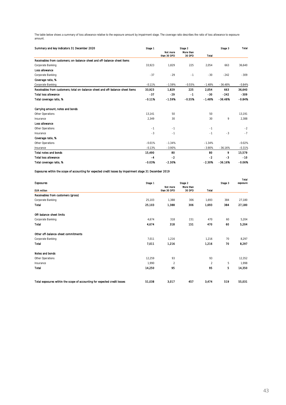The table below shows a summary of loss allowance relative to the exposure amount by impairment stage. The coverage ratio describes the ratio of loss allowance to exposure amount.

| Summary and key indicators 31 December 2020                                    |          |                         | Stage 2             |              | Stage 3   | Total    |
|--------------------------------------------------------------------------------|----------|-------------------------|---------------------|--------------|-----------|----------|
|                                                                                |          | Not more<br>than 30 DPD | More than<br>30 DPD | <b>Total</b> |           |          |
| Receivables from customers: on-balance-sheet and off-balance-sheet items       |          |                         |                     |              |           |          |
| Corporate Banking                                                              | 33.923   | 1.829                   | 225                 | 2.054        | 663       | 36,640   |
| Loss allowance                                                                 |          |                         |                     |              |           |          |
| Corporate Banking                                                              | $-37$    | $-29$                   | $-1$                | $-30$        | $-242$    | $-309$   |
| Coverage ratio, %                                                              |          |                         |                     |              |           |          |
| Corporate Banking                                                              | $-0.11%$ | $-1.59%$                | $-0.55%$            | $-1.48%$     | $-36.48%$ | $-0.84%$ |
| Receivables from customers; total on-balance-sheet and off-balance-sheet items | 33.923   | 1.829                   | 225                 | 2,054        | 663       | 36,640   |
| <b>Total loss allowance</b>                                                    | $-37$    | $-29$                   | $-1$                | $-30$        | $-242$    | -309     |
| Total coverage ratio, %                                                        | $-0.11%$ | $-1.59%$                | $-0.55%$            | $-1.48%$     | $-36.48%$ | $-0.84%$ |
| Carrying amount, notes and bonds                                               |          |                         |                     |              |           |          |
| Other Operations                                                               | 13,141   | 50                      |                     | 50           |           | 13,191   |
| Insurance                                                                      | 2.349    | 30                      |                     | 30           | 9         | 2,388    |
| Loss allowance                                                                 |          |                         |                     |              |           |          |
| Other Operations                                                               | $-1$     | $-1$                    |                     | $-1$         |           | $-2$     |
| Insurance                                                                      | $-3$     | $-1$                    |                     | $-1$         | $-3$      | $-7$     |
| Coverage ratio, %                                                              |          |                         |                     |              |           |          |
| Other Operations                                                               | $-0.01%$ | $-1.34%$                |                     | $-1.34%$     |           | $-0.02%$ |
| Insurance                                                                      | $-0.13%$ | $-3.90%$                |                     | $-3.90%$     | $-36.16%$ | $-0.31%$ |
| <b>Total notes and bonds</b>                                                   | 15,490   | 80                      |                     | 80           | 9         | 15,579   |
| <b>Total loss allowance</b>                                                    | $-4$     | $-2$                    |                     | $-2$         | $-3$      | $-10$    |
| Total coverage ratio, %                                                        | $-0.03%$ | $-2.30%$                |                     | $-2.30%$     | $-36.16%$ | $-0.06%$ |

Exposures within the scope of accounting for expected credit losses by impairment stage 31 December 2019

|                                                                           |         |             |           |              |         | Total    |
|---------------------------------------------------------------------------|---------|-------------|-----------|--------------|---------|----------|
| <b>Exposures</b>                                                          | Stage 1 |             | Stage 2   |              | Stage 3 | exposure |
|                                                                           |         | Not more    | More than |              |         |          |
| <b>EUR million</b>                                                        |         | than 30 DPD | 30 DPD    | <b>Total</b> |         |          |
| Receivables from customers (gross)                                        |         |             |           |              |         |          |
| Corporate Banking                                                         | 25,103  | 1,388       | 306       | 1,693        | 384     | 27,180   |
| <b>Total</b>                                                              | 25,103  | 1,388       | 306       | 1,693        | 384     | 27,180   |
| Off-balance-sheet limits                                                  |         |             |           |              |         |          |
| Corporate Banking                                                         | 4,674   | 318         | 151       | 470          | 60      | 5,204    |
| <b>Total</b>                                                              | 4,674   | 318         | 151       | 470          | 60      | 5,204    |
| Other off-balance-sheet commitments                                       |         |             |           |              |         |          |
| Corporate Banking                                                         | 7,011   | 1,216       |           | 1,216        | 70      | 8,297    |
| <b>Total</b>                                                              | 7.011   | 1,216       |           | 1,216        | 70      | 8,297    |
| Notes and bonds                                                           |         |             |           |              |         |          |
| Other Operations                                                          | 12.259  | 93          |           | 93           |         | 12,352   |
| Insurance                                                                 | 1.990   | 2           |           | 2            | 5       | 1,998    |
| <b>Total</b>                                                              | 14,250  | 95          |           | 95           | 5       | 14,350   |
| Total exposures within the scope of accounting for expected credit losses | 51,038  | 3,017       | 457       | 3,474        | 519     | 55,031   |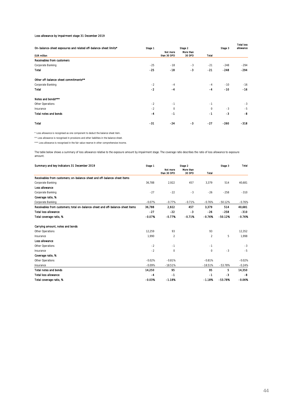#### Loss allowance by impairment stage 31 December 2019

|                                                                  |         |             |           |              |         | <b>Total loss</b> |
|------------------------------------------------------------------|---------|-------------|-----------|--------------|---------|-------------------|
| On-balance-sheet exposures and related off-balance-sheet limits* | Stage 1 |             | Stage 2   |              | Stage 3 | allowance         |
|                                                                  |         | Not more    | More than |              |         |                   |
| <b>EUR million</b>                                               |         | than 30 DPD | 30 DPD    | <b>Total</b> |         |                   |
| <b>Receivables from customers</b>                                |         |             |           |              |         |                   |
| Corporate Banking                                                | $-25$   | $-18$       | $-3$      | $-21$        | $-248$  | $-294$            |
| <b>Total</b>                                                     | $-25$   | $-18$       | $-3$      | $-21$        | $-248$  | $-294$            |
| Other off-balance-sheet commitments**                            |         |             |           |              |         |                   |
| Corporate Banking                                                | $-2$    | $-4$        |           | $-4$         | $-10$   | $-16$             |
| <b>Total</b>                                                     | $-2$    | $-4$        |           | $-4$         | $-10$   | $-16$             |
| Notes and bonds***                                               |         |             |           |              |         |                   |
| Other Operations                                                 | $-2$    | $-1$        |           | $-1$         |         | $-3$              |
| Insurance                                                        | $-2$    | 0           |           | $\Omega$     | $-3$    | $-5$              |
| <b>Total notes and bonds</b>                                     | $-4$    | $-1$        |           | $-1$         | $-3$    | -8                |
| <b>Total</b>                                                     | $-31$   | $-24$       | $-3$      | $-27$        | $-260$  | $-318$            |

\* Loss allowance is recognised as one component to deduct the balance sheet item.

\*\* Loss allowance is recognised in provisions and other liabilities in the balance sheet.

\*\*\* Loss allowance is recognised in the fair value reserve in other comprehensive income.

The table below shows a summary of loss allowance relative to the exposure amount by impairment stage. The coverage ratio describes the ratio of loss allowance to exposure amount.

| Summary and key indicators 31 December 2019                                    | Stage 1  | Stage 2                 |                     |                | Stage 3   | Total    |
|--------------------------------------------------------------------------------|----------|-------------------------|---------------------|----------------|-----------|----------|
|                                                                                |          | Not more<br>than 30 DPD | More than<br>30 DPD | <b>Total</b>   |           |          |
| Receivables from customers: on-balance-sheet and off-balance-sheet items       |          |                         |                     |                |           |          |
| Corporate Banking                                                              | 36,788   | 2,922                   | 457                 | 3,379          | 514       | 40,681   |
| Loss allowance                                                                 |          |                         |                     |                |           |          |
| Corporate Banking                                                              | $-27$    | $-22$                   | $-3$                | $-26$          | $-258$    | $-310$   |
| Coverage ratio, %                                                              |          |                         |                     |                |           |          |
| Corporate Banking                                                              | $-0.07%$ | $-0.77%$                | $-0.71%$            | $-0.76%$       | $-50.12%$ | $-0.76%$ |
| Receivables from customers; total on-balance-sheet and off-balance-sheet items | 36.788   | 2,922                   | 457                 | 3.379          | 514       | 40,681   |
| <b>Total loss allowance</b>                                                    | -27      | $-22$                   | -3                  | -26            | $-258$    | $-310$   |
| Total coverage ratio, %                                                        | $-0.07%$ | $-0.77%$                | $-0.71%$            | $-0.76%$       | $-50.12%$ | $-0.76%$ |
| Carrying amount, notes and bonds                                               |          |                         |                     |                |           |          |
| Other Operations                                                               | 12,259   | 93                      |                     | 93             |           | 12,352   |
| Insurance                                                                      | 1.990    | 2                       |                     | $\overline{2}$ | 5         | 1,998    |
| Loss allowance                                                                 |          |                         |                     |                |           |          |
| Other Operations                                                               | $-2$     | $-1$                    |                     | $-1$           |           | $-3$     |
| Insurance                                                                      | $-2$     | 0                       |                     | 0              | $-3$      | $-5$     |
| Coverage ratio, %                                                              |          |                         |                     |                |           |          |
| Other Operations                                                               | $-0.02%$ | $-0.81%$                |                     | $-0.81%$       |           | $-0.02%$ |
| Insurance                                                                      | $-0.09%$ | $-18.51%$               |                     | $-18.51%$      | $-53.78%$ | $-0.24%$ |
| <b>Total notes and bonds</b>                                                   | 14,250   | 95                      |                     | 95             | 5         | 14,350   |
| <b>Total loss allowance</b>                                                    | $-4$     | $-1$                    |                     | $-1$           | $-3$      | -8       |
| Total coverage ratio, %                                                        | $-0.03%$ | $-1.18X$                |                     | $-1.18%$       | $-53.78%$ | $-0.06%$ |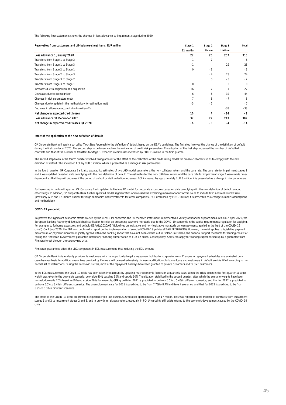The following flow statements shows the changes in loss allowance by impairment stage during 2020

| Receivables from customers and off-balance-sheet items, EUR million | Stage 1     | Stage 2  | Stage 3  | Total |
|---------------------------------------------------------------------|-------------|----------|----------|-------|
|                                                                     | 12 months   | Lifetime | Lifetime |       |
| Loss allowance 1 January 2020                                       | 27          | 26       | 257      | 310   |
| Transfers from Stage 1 to Stage 2                                   | $-1$        |          |          | 6     |
| Transfers from Stage 1 to Stage 3                                   | $-1$        |          | 29       | 28    |
| Transfers from Stage 2 to Stage 1                                   | $\mathbf 0$ | $-3$     |          | $-3$  |
| Transfers from Stage 2 to Stage 3                                   |             | $-4$     | 28       | 24    |
| Transfers from Stage 3 to Stage 2                                   |             | $\Omega$ | $-3$     | $-2$  |
| Transfers from Stage 3 to Stage 1                                   | $\mathbf 0$ |          | 0        | 0     |
| Increases due to origination and acquisition                        | 16          |          | 4        | 27    |
| Decreases due to derecognition                                      | $-6$        | -6       | $-32$    | $-44$ |
| Changes in risk parameters (net)                                    | 7           | 5        | $-7$     | 5     |
| Changes due to update in the methodology for estimation (net)       | $-5$        | $-2$     |          | $-7$  |
| Decrease in allowance account due to write-offs                     |             |          | $-33$    | $-33$ |
| Net change in expected credit losses                                | 10          | 4        | $-14$    | -1    |
| Loss allowance 31 December 2020                                     | 37          | 29       | 243      | 309   |
| Net change in expected credit losses Q4 2020                        | -6          | -5       | -4       | -14   |

#### Effect of the application of the new definition of default

OP Corporate Bank will apply a so-called Two-Step Approach to the definition of default based on the EBA's guidelines. The first step involved the change of the definition of default during the first quarter of 2020. The second step to be taken involves the calibration of credit risk parameters. The adoption of the first step increased the number of defaulted contracts and that of the number of transfers to Stage 3. Expected credit losses increased by EUR 13 million in the first quarter.

The second step taken in the fourth quarter involved taking account of the effect of the calibration of the credit rating model for private customers so as to comply with the new definition of default. This increased ECL by EUR 3 million, which is presented as a change in risk parameters.

In the fourth quarter, OP Corporate Bank also updated its estimates of two LGD model parameters: the non-collateral return and the cure rate. The cure rate for impairment stages 1 and 2 was updated based on data complying with the new definition of default. The estimates for the non-collateral return and the cure rate for impairment stage 3 were made timedependent so that they will decrease if the period of default or debt collection increases. ECL increased by approximately EUR 3 million; it is presented as a change in risk parameters.

Furthermore, in the fourth quarter, OP Corporate Bank updated its lifetime PD model for corporate exposures based on data complying with the new definition of default, among other things. In addition, OP Corporate Bank further specified model segmentation and revised the explaining macroeconomic factors so as to include GDP and real interest rate (previously GDP and 12-month Euribor for large companies and investments for other companies). ECL decreased by EUR 7 million; it is presented as a change in model assumptions and methodology.

#### COVID-19 pandemic

To prevent the significant economic effects caused by the COVID-19 pandemic, the EU member states have implemented a variety of financial support measures. On 2 April 2020, the European Banking Authority (EBA) published clarification to relief on processing payment moratoria due to the COVID-19 pandemic in the capital requirements regulation for applying, for example, to forborne exposures and default (EBA/GL/2020/02 "Guidelines on legislative and non-legislative moratoria on loan payments applied in the light of the COVID-19 crisis"). On 7 July 2020, the EBA also published a report on the implementation of selected COVID-19 policies (EBA/REP/2020/19). However, the relief applies to legislative payment moratorium or payment moratorium jointly agreed within the banking sector that have not been carried out in Finland. In Finland, the financial support measures for lending consist of raising the Finnvera's (Government guarantee institution) financing authorisation to EUR 12 billion. Consequently, SMEs can apply for working capital backed up by a quarantee from Finnvera to get through the coronavirus crisis.

Finnvera's guarantees affect the LDG component in ECL measurement, thus reducing the ECL amount.

OP Corporate Bank independently provides its customers with the opportunity to get a repayment holiday for corporate loans. Changes in repayment schedules are evaluated on a case-by-case basis. In addition, guarantees provided by Finnvera will be used extensively. In loan modifications, forborne loans and customers in default are identified according to the normal set of instructions. During the coronavirus crisis, most of the repayment holidays have been granted to private customers and to SME customers.

In the ECL measurement, the Covid-19 crisis has been taken into account by updating macroeconomic factors on a quarterly basis. When the crisis began in the first quarter, a larger weight was given to the downside scenario; downside 40%, baseline 50% and upside 10%. The situation stabilised in the second quarter, after which the scenario weights have been normal; downside 20%, baseline 60% and upside 20%. For example, GDP growth for 2021 is predicted to be from 0.5% to 5.4% in different scenarios, and that for 2022 is predicted to be from 0.5% to 3.4% in different scenarios. The unemployment rate for 2021 is predicted to be from 7.7% to 8.7% in different scenarios, and that for 2022 is predicted to be from 6.9% to 8.3% in different scenarios.

The effect of the COVID-19 crisis on growth in expected credit loss during 2020 totalled approximately EUR 17 million. This was reflected in the transfer of contracts from impairment stages 1 and 2 to impairment stages 2 and 3, and in growth in risk parameters, especially in PD. Uncertainty still exists related to the economic development caused by the COVID-19 crisis.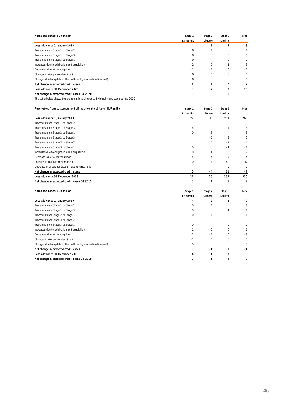| Notes and bonds, EUR million                                  | Stage 1   | Stage 2         | Stage 3  | Total    |
|---------------------------------------------------------------|-----------|-----------------|----------|----------|
|                                                               | 12 months | <b>Lifetime</b> | Lifetime |          |
| Loss allowance 1 January 2020                                 |           |                 | 3        |          |
| Transfers from Stage 1 to Stage 2                             | $\Omega$  |                 |          |          |
| Transfers from Stage 1 to Stage 3                             | $\Omega$  |                 | 0        | 0        |
| Transfers from Stage 3 to Stage 1                             | $\Omega$  |                 | 0        | 0        |
| Increases due to origination and acquisition                  |           | 0               |          | 3        |
| Decreases due to derecognition                                | $-1$      | $-1$            | 0        | $-2$     |
| Changes in risk parameters (net)                              | 0         | 0               | 0        | 0        |
| Changes due to update in the methodology for estimation (net) | 0         |                 |          | $\Omega$ |
| Net change in expected credit losses                          |           |                 | o        |          |
| Loss allowance 31 December 2020                               | 5         | 2               | 3        | 10       |
| Net change in expected credit losses Q4 2020                  |           |                 |          |          |

The table below shows the change in loss allowance by impairment stage during 2019

| Receivables from customers and off-balance-sheet items. EUR million | Stage 1     | Stage 2  | Stage 3  | Total          |
|---------------------------------------------------------------------|-------------|----------|----------|----------------|
|                                                                     | 12 months   | Lifetime | Lifetime |                |
| Loss allowance 1 January 2019                                       | 27          | 30       | 207      | 263            |
| Transfers from Stage 1 to Stage 2                                   | $-1$        | 9        |          | 8              |
| Transfers from Stage 1 to Stage 3                                   | $-4$        |          |          | 3              |
| Transfers from Stage 2 to Stage 1                                   | $\mathbf 0$ | $-3$     |          | $-3$           |
| Transfers from Stage 2 to Stage 3                                   |             | $-7$     | 9        | $\overline{c}$ |
| Transfers from Stage 3 to Stage 2                                   |             | $\Omega$ | $-2$     | $-2$           |
| Transfers from Stage 3 to Stage 1                                   | $\mathbf 0$ |          | $-1$     | $-1$           |
| Increases due to origination and acquisition                        | 8           | 4        | 6        | 19             |
| Decreases due to derecognition                                      | $-4$        | $-4$     | $-7$     | $-14$          |
| Changes in risk parameters (net)                                    | $\mathbf 0$ | $-4$     | 40       | 37             |
| Decrease in allowance account due to write-offs                     |             |          | $-2$     | $-2$           |
| Net change in expected credit losses                                | 0           | $-4$     | 51       | 47             |
| Loss allowance 31 December 2019                                     | 27          | 26       | 257      | 310            |
| Net change in expected credit losses Q4 2019                        | 5           | 4        | 1        | 9              |

| Notes and bonds, EUR million                                  | Stage 1   | Stage 2  | Stage 3  | Total |
|---------------------------------------------------------------|-----------|----------|----------|-------|
|                                                               | 12 months | Lifetime | Lifetime |       |
| Loss allowance 1 January 2019                                 | 4         | 2        | 2        | 9     |
| Transfers from Stage 1 to Stage 2                             | $\Omega$  |          |          |       |
| Transfers from Stage 1 to Stage 3                             | $\Omega$  |          |          |       |
| Transfers from Stage 2 to Stage 1                             | $\Omega$  | $-1$     |          | -1    |
| Transfers from Stage 3 to Stage 2                             |           |          |          |       |
| Transfers from Stage 3 to Stage 1                             | 0         |          | 0        | 0     |
| Increases due to origination and acquisition                  |           | 0        | $\Omega$ |       |
| Decreases due to derecognition                                | $-2$      | $-1$     | $\Omega$ | $-3$  |
| Changes in risk parameters (net)                              | $-1$      | 0        | 0        | 0     |
| Changes due to update in the methodology for estimation (net) | 0         |          |          | 0     |
| Net change in expected credit losses                          |           | -1       |          | $-1$  |
| Loss allowance 31 December 2019                               |           |          | 3        | 8     |
| Net change in expected credit losses Q4 2019                  |           | -1       | -2       | -2    |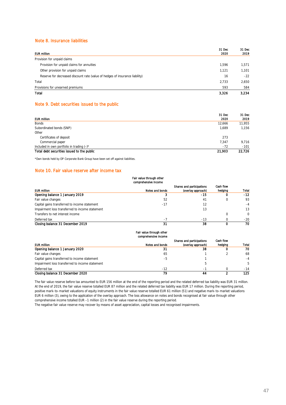### Note 8. Insurance liabilities

|                                                                              | 31 Dec | 31 Dec |
|------------------------------------------------------------------------------|--------|--------|
| <b>EUR million</b>                                                           | 2020   | 2019   |
| Provision for unpaid claims                                                  |        |        |
| Provision for unpaid claims for annuities                                    | 1.596  | 1,571  |
| Other provision for unpaid claims                                            | 1.121  | 1,101  |
| Reserve for decreased discount rate (value of hedges of insurance liability) | 16     | $-22$  |
| Total                                                                        | 2.733  | 2,650  |
| Provisions for unearned premiums                                             | 593    | 584    |
| Total                                                                        | 3,326  | 3.234  |

### Note 9. Debt securities issued to the public

|                                              | 31 Dec | 31 Dec |
|----------------------------------------------|--------|--------|
| <b>EUR million</b>                           | 2020   | 2019   |
| Bonds                                        | 12,666 | 11,955 |
| Subordinated bonds (SNP)                     | 1.689  | 1.156  |
| Other                                        |        |        |
| Certificates of deposit                      | 273    |        |
| Commercial paper                             | 7.347  | 9,716  |
| Included in own portfolio in trading $(-)^*$ | $-72$  | $-101$ |
| Total debt securities issued to the public   | 21,903 | 22.726 |

\*Own bonds held by OP Corporate Bank Group have been set off against liabilities.

#### Note 10. Fair value reserve after income tax

#### Fair value through other comprehensive income

| <b>EUR million</b>                              | Notes and bonds | Shares and participations<br>(overlay approach) | Cash flow<br>hedging | Total    |
|-------------------------------------------------|-----------------|-------------------------------------------------|----------------------|----------|
| Opening balance 1 January 2019                  |                 | -15                                             | o                    | $-12$    |
| Fair value changes                              | 52              | 41                                              | C                    | 93       |
| Capital gains transferred to income statement   | -17             | 12                                              |                      | $-4$     |
| Impairment loss transferred to income statement |                 | 13                                              |                      | 13       |
| Transfers to net interest income                |                 |                                                 |                      | $\Omega$ |
| Deferred tax                                    | $-7$            | $-13$                                           |                      | $-20$    |
| Closing balance 31 December 2019                | 31              | 38                                              |                      | 70       |

#### Fair value through other comprehensive income

|                                                 |                 | Shares and participations | Cash flow |       |
|-------------------------------------------------|-----------------|---------------------------|-----------|-------|
| <b>EUR million</b>                              | Notes and bonds | (overlay approach)        | hedging   | Total |
| Opening balance 1 January 2020                  | 31              | 38                        |           | 70    |
| Fair value changes                              | 65              |                           |           | 68    |
| Capital gains transferred to income statement   | -5              |                           |           | $-4$  |
| Impairment loss transferred to income statement |                 |                           |           | 5.    |
| Deferred tax                                    | $-12$           | - 1                       |           | $-14$ |
| Closing balance 31 December 2020                | 79              |                           |           | 125   |

The fair value reserve before tax amounted to EUR 156 million at the end of the reporting period and the related deferred tax liability was EUR 31 million. At the end of 2019, the fair value reserve totalled EUR 87 million and the related deferred tax liability was EUR 17 million. During the reporting period, positive mark-to-market valuations of equity instruments in the fair value reserve totalled EUR 61 million (51) and negative mark-to-market valuations EUR 6 million (3), owing to the application of the overlay approach. The loss allowance on notes and bonds recognised at fair value through other comprehensive income totalled EUR –1 million (2) in the fair value reserve during the reporting period.

The negative fair value reserve may recover by means of asset appreciation, capital losses and recognised impairments.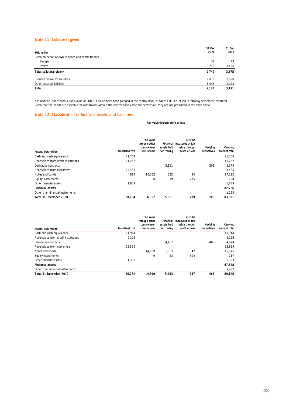### Note 11. Collateral given

|                                                    | 31 Dec | 31 Dec |
|----------------------------------------------------|--------|--------|
| <b>EUR million</b>                                 | 2020   | 2019   |
| Given on behalf of own liabilities and commitments |        |        |
| Pledges                                            | 39     | 79     |
| Others                                             | 9.710  | 3,496  |
| Total collateral given*                            | 9.749  | 3,575  |
| Secured derivative liabilities                     | 1.078  | 1,098  |
| Other secured liabilities                          | 8,046  | 2,093  |
| Total                                              | 9,124  | 3.191  |

\* In addition, bonds with a book value of EUR 5.3 billion have been pledged in the central bank, of which EUR 1.5 billion in intraday settlement collateral. Given that the bonds are available for withdrawal without the central bank's advance permission, they are not presented in the table above.

#### Note 12. Classification of financial assets and liabilities

#### Fair value through profit or loss

| <b>Assets, EUR million</b>           | <b>Amortised cost</b> | <b>Fair value</b><br>through other<br>comprehen-<br>sive income | Financial<br>assets held<br>for trading | Must be<br>measured at fair<br>value through<br>profit or loss | Hedaina<br>derivatives | Carrying<br>amount total |
|--------------------------------------|-----------------------|-----------------------------------------------------------------|-----------------------------------------|----------------------------------------------------------------|------------------------|--------------------------|
| Cash and cash equivalents            | 21.764                |                                                                 |                                         |                                                                |                        | 21.764                   |
| Receivables from credit institutions | 11.252                |                                                                 |                                         |                                                                |                        | 11.252                   |
| Derivative contracts                 |                       |                                                                 | 5.161                                   |                                                                | 209                    | 5.370                    |
| Receivables from customers           | 24.485                |                                                                 |                                         |                                                                |                        | 24.485                   |
| Notes and bonds                      | 814                   | 16.052                                                          | 332                                     | 24                                                             |                        | 17.222                   |
| Equity instruments                   |                       | 0                                                               | 19                                      | 775                                                            |                        | 794                      |
| Other financial assets               | 1.839                 |                                                                 |                                         |                                                                |                        | 1,839                    |
| <b>Financial assets</b>              |                       |                                                                 |                                         |                                                                |                        | 82.726                   |
| Other than financial instruments     |                       |                                                                 |                                         |                                                                |                        | 1.265                    |
| Total 31 December 2020               | 60.154                | 16.052                                                          | 5.511                                   | 799                                                            | 209                    | 83.991                   |

|                                      |                | <b>Fair value</b><br>through other<br>comprehen- | Financial<br>assets held | Must be<br>measured at fair<br>value through | Hedging     | Carrying     |
|--------------------------------------|----------------|--------------------------------------------------|--------------------------|----------------------------------------------|-------------|--------------|
| Assets, EUR million                  | Amortised cost | sive income                                      | for trading              | profit or loss                               | derivatives | amount total |
| Cash and cash equivalents            | 11.914         |                                                  |                          |                                              |             | 11.914       |
| Receivables from credit institutions | 9,126          |                                                  |                          |                                              |             | 9.126        |
| Derivative contracts                 |                |                                                  | 4.407                    |                                              | 468         | 4.874        |
| Receivables from customers           | 23.829         |                                                  |                          |                                              |             | 23.829       |
| Notes and bonds                      |                | 14.899                                           | 1.033                    | 42                                           |             | 15.975       |
| Equity instruments                   |                | 0                                                | 23                       | 694                                          |             | 717          |
| Other financial assets               | 1.393          |                                                  |                          |                                              |             | 1.393        |
| <b>Financial assets</b>              |                |                                                  |                          |                                              |             | 67.828       |
| Other than financial instruments     |                |                                                  |                          |                                              |             | 1.297        |
| Total 31 December 2019               | 46.262         | 14.899                                           | 5,463                    | 737                                          | 468         | 69.126       |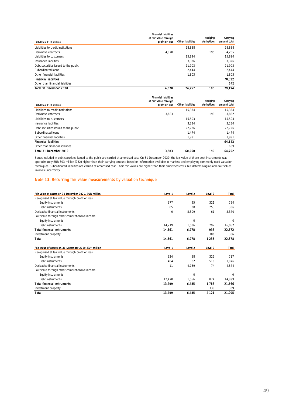| Liabilities. EUR million             | <b>Financial liabilities</b><br>at fair value through<br>profit or loss | <b>Other liabilities</b> | Hedging<br>derivatives | Carrying<br>amount total |
|--------------------------------------|-------------------------------------------------------------------------|--------------------------|------------------------|--------------------------|
| Liabilities to credit institutions   |                                                                         | 28.888                   |                        | 28.888                   |
| Derivative contracts                 | 4.070                                                                   |                          | 195                    | 4.265                    |
| Liabilities to customers             |                                                                         | 15.894                   |                        | 15.894                   |
| Insurance liabilities                |                                                                         | 3.326                    |                        | 3.326                    |
| Debt securities issued to the public |                                                                         | 21.903                   |                        | 21.903                   |
| Subordinated loans                   |                                                                         | 2.444                    |                        | 2.444                    |
| Other financial liabilities          |                                                                         | 1.803                    |                        | 1,803                    |
| <b>Financial liabilities</b>         |                                                                         |                          |                        | 78.522                   |
| Other than financial liabilities     |                                                                         |                          |                        | 672                      |
| Total 31 December 2020               | 4,070                                                                   | 74.257                   | 195                    | 79.194                   |

| Liabilities, EUR million             | <b>Financial liabilities</b><br>at fair value through<br>profit or loss | <b>Other liabilities</b> | <b>Hedging</b><br>derivatives | Carrying<br>amount total |
|--------------------------------------|-------------------------------------------------------------------------|--------------------------|-------------------------------|--------------------------|
| Liabilities to credit institutions   |                                                                         | 15.334                   |                               | 15.334                   |
| Derivative contracts                 | 3.683                                                                   |                          | 199                           | 3.882                    |
| Liabilities to customers             |                                                                         | 15.503                   |                               | 15,503                   |
| Insurance liabilities                |                                                                         | 3.234                    |                               | 3.234                    |
| Debt securities issued to the public |                                                                         | 22.726                   |                               | 22.726                   |
| Subordinated loans                   |                                                                         | 1.474                    |                               | 1.474                    |
| Other financial liabilities          |                                                                         | 1,991                    |                               | 1,991                    |
| <b>Financial liabilities</b>         |                                                                         |                          |                               | 64.143                   |
| Other than financial liabilities     |                                                                         |                          |                               | 609                      |
| Total 31 December 2019               | 3,683                                                                   | 60.260                   | 199                           | 64.752                   |

Bonds included in debt securities issued to the public are carried at amortised cost. On 31 December 2020, the fair value of these debt instruments was approximately EUR 303 million (232) higher than their carrying amount, based on information available in markets and employing commonly used valuation techniques. Subordinated liabilities are carried at amortised cost. Their fair values are higher than their amortised costs, but determining reliable fair values involves uncertainty.

#### Note 13. Recurring fair value measurements by valuation technique

| Fair value of assets on 31 December 2020, EUR million | Level 1     | Level 2  | Level 3 | Total    |
|-------------------------------------------------------|-------------|----------|---------|----------|
| Recognised at fair value through profit or loss       |             |          |         |          |
| <b>Equity instruments</b>                             | 377         | 95       | 321     | 794      |
| Debt instruments                                      | 65          | 38       | 253     | 356      |
| Derivative financial instruments                      | $\mathbf 0$ | 5,309    | 61      | 5,370    |
| Fair value through other comprehensive income         |             |          |         |          |
| <b>Equity instruments</b>                             |             | 0        |         | 0        |
| Debt instruments                                      | 14,219      | 1,536    | 297     | 16,052   |
| <b>Total financial instruments</b>                    | 14,661      | 6,978    | 933     | 22.572   |
| Investment property                                   |             |          | 306     | 306      |
| Total                                                 | 14,661      | 6,978    | 1,238   | 22,878   |
| Fair value of assets on 31 December 2019, EUR million | Level 1     | Level 2  | Level 3 | Total    |
| Recognised at fair value through profit or loss       |             |          |         |          |
| Equity instruments                                    | 334         | 58       | 325     | 717      |
| Debt instruments                                      | 484         | 82       | 510     | 1,076    |
| Derivative financial instruments                      | 11          | 4,789    | 74      | 4,874    |
| Fair value through other comprehensive income         |             |          |         |          |
| Equity instruments                                    |             | $\Omega$ |         | $\Omega$ |
| Debt instruments                                      | 12,470      | 1,556    | 874     | 14,899   |
| <b>Total financial instruments</b>                    | 13,299      | 6,485    | 1,783   | 21,566   |
| Investment property                                   |             |          | 339     | 339      |
| <b>Total</b>                                          | 13,299      | 6,485    | 2,121   | 21,905   |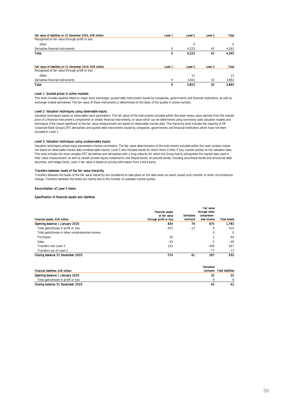| Fair value of liabilities on 31 December 2020, EUR million | Level 1  | Level 2 | Level 3 | Total    |
|------------------------------------------------------------|----------|---------|---------|----------|
| Recognised at fair value through profit or loss            |          |         |         |          |
| Other                                                      |          | 0       |         | $\Omega$ |
| Derivative financial instruments                           | $\Omega$ | 4.222   | 42      | 4,265    |
| Total                                                      | 0        | 4.223   | 42      | 4.265    |
| Fair value of Ilabilities on 31 December 2019, EUR million | Level 1  | Level 2 | Level 3 | Total    |
| Recognised at fair value through profit or loss            |          |         |         |          |
| Other                                                      |          | 12      |         | 12       |
| Derivative financial instruments                           | 9        | 3.841   | 32      | 3,882    |
| Total                                                      | 9        | 3.853   | 32      | 3.894    |

#### Level 1: Quoted prices in active markets

This level includes equities listed on major stock exchanges, quoted debt instruments issued by companies, governments and financial institutions, as well as exchange-traded derivatives. The fair value of these instruments is determined on the basis of the quotes in active markets.

#### Level 2: Valuation techniques using observable inputs

Valuation techniques based on observable input parameters. The fair value of the instruments included within this level means value derived from the market price of a financial instrument's components or similar financial instruments; or value which can be determined using commonly used valuation models and techniques if the inputs significant to the fair value measurement are based on observable market data. This hierarchy level includes the majority of OP Corporate Bank Group's OTC derivatives and quoted debt instruments issued by companies, governments and financial institutions which have not been included in Level 1.

#### Level 3: Valuation techniques using unobservable inputs

Valuation techniques whose input parameters involve uncertainty. The fair value determination of the instruments included within this level contains inputs not based on observable market data (unobservable inputs). Level 3 also includes bonds for which there is little, if any, market activity on the valuation date. This level includes the most complex OTC derivatives and derivatives with a long maturity for which the Group had to extrapolate the market data used in their value measurement, as well as certain private equity investments, and illiquid bonds, structured bonds, including securitised bonds and structured debt securities, and hedge funds. Level 3 fair value is based on pricing information from a third party.

#### Transfers between levels of the fair value hierarchy

Transfers between the levels of the fair value hierarchy are considered to take place on the date when an event causes such transfer or when circumstances change. Transfers between the levels are mainly due to the number of available market quotes.

#### Reconciliation of Level 3 items

#### Specification of financial assets and liabilities

| Financial assets, EUR million                    | <b>Financial assets</b><br>at fair value<br>through profit or loss | <b>Derivative</b><br>contracts | <b>Fair value</b><br>through other<br>comprehen-<br>sive income | <b>Total assets</b> |
|--------------------------------------------------|--------------------------------------------------------------------|--------------------------------|-----------------------------------------------------------------|---------------------|
| Opening balance 1 January 2020                   | 834                                                                | 74                             | 875                                                             | 1.783               |
| Total gains/losses in profit or loss             | $-507$                                                             | $-13$                          | $\Omega$                                                        | $-520$              |
| Total gains/losses in other comprehensive income |                                                                    |                                | 0                                                               | $\Omega$            |
| Purchases                                        | 59                                                                 |                                |                                                                 | 60                  |
| Sales                                            | $-43$                                                              |                                | $-3$                                                            | $-46$               |
| Transfers into Level 3                           | 232                                                                |                                | $-499$                                                          | $-267$              |
| Transfers out of Level 3                         |                                                                    |                                | $-77$                                                           | $-77$               |
| Closing balance 31 December 2020                 | 574                                                                | 61                             | 297                                                             | 933                 |

|                                      | Derivative |                             |
|--------------------------------------|------------|-----------------------------|
| Financial liabilities, EUR million   |            | contracts Total liabilities |
| Opening balance 1 January 2020       |            | 32                          |
| Total gains/losses in profit or loss |            |                             |
| Closing balance 31 December 2020     | 42         | 42                          |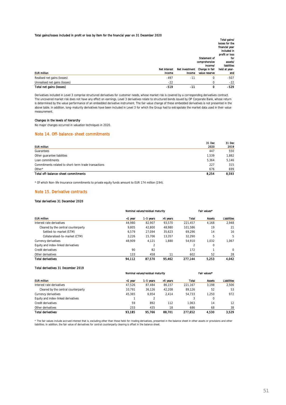#### Total gains/losses included in profit or loss by item for the financial year on 31 December 2020

|                               |                     |                |                | Total gains/   |
|-------------------------------|---------------------|----------------|----------------|----------------|
|                               |                     |                |                | losses for the |
|                               |                     |                |                | financial year |
|                               |                     |                |                | included in    |
|                               |                     |                |                | profit or loss |
|                               |                     |                | Statement of   | for            |
|                               |                     |                | comprehensive  | assets/        |
|                               |                     |                | income/        | liabilities    |
|                               | <b>Net interest</b> | Net investment | Change in fair | held at year-  |
|                               |                     |                |                |                |
| <b>EUR million</b>            | Income              | income         | value reserve  | end            |
| Realised net gains (losses)   | $-497$              | $-11$          | 0              | $-507$         |
| Unrealised net gains (losses) | $-22$               |                | 0              | $-22$          |

Derivatives included in Level 3 comprise structured derivatives for customer needs, whose market risk is covered by a corresponding derivatives contract. The uncovered market risk does not have any effect on earnings. Level 3 derivatives relate to structured bonds issued by OP Corporate Bank, whose return is determined by the value performance of an embedded derivative instrument. The fair value change of these embedded derivatives is not presented in the above table. In addition, long-maturity derivatives have been included in Level 3 for which the Group had to extrapolate the market data used in their value measurement.

#### Changes in the levels of hierarchy

No major changes occurred in valuation techniques in 2020.

#### Note 14. Off-balance-sheet commitments

|                                                      | 31 Dec | 31 Dec |
|------------------------------------------------------|--------|--------|
| <b>EUR million</b>                                   | 2020   | 2019   |
| Guarantees                                           | 447    | 550    |
| Other guarantee liabilities                          | 1.539  | 1.882  |
| Loan commitments                                     | 5.364  | 5.146  |
| Commitments related to short-term trade transactions | 227    | 315    |
| Other $*$                                            | 676    | 699    |
| Total off-balance-sheet commitments                  | 8.254  | 8.593  |

\* Of which Non-life Insurance commitments to private equity funds amount to EUR 174 million (194).

#### Note 15. Derivative contracts

#### Total derivatives 31 December 2020

| <b>EUR million</b>                  | Nominal values/residual maturity |               |          | Fair values* |               |             |
|-------------------------------------|----------------------------------|---------------|----------|--------------|---------------|-------------|
|                                     | <1 year                          | 1-5 vears     | >5 years | <b>Total</b> | <b>Assets</b> | Liabilities |
| Interest rate derivatives           | 44.980                           | 82.907        | 93.570   | 221.457      | 4.168         | 2.948       |
| Cleared by the central counterparty | 9.805                            | 42.800        | 48.980   | 101.586      | 19            | 21          |
| Settled-to-market (STM)             | 6.579                            | 27.094        | 35.623   | 69.296       | 14            | 16          |
| Collateralised-to-market (CTM)      | 3.226                            | 15.706        | 13.357   | 32.290       | 5             | 5           |
| Currency derivatives                | 48.909                           | 4.121         | 1.880    | 54.910       | 1.032         | 1.067       |
| Equity and index-linked derivatives |                                  | $\mathcal{P}$ |          |              | 0             |             |
| Credit derivatives                  | 90                               | 82            |          | 172          |               | $\Omega$    |
| Other derivatives                   | 133                              | 458           | 11       | 602          | 52            | 28          |
| <b>Total derivatives</b>            | 94.112                           | 87.570        | 95,462   | 277.144      | 5.253         | 4.042       |

#### Total derivatives 31 December 2019

| <b>EUR million</b>                  | Nominal values/residual maturity |           |          | Fair values* |               |                    |
|-------------------------------------|----------------------------------|-----------|----------|--------------|---------------|--------------------|
|                                     | ≺1 vear                          | 1-5 years | >5 years | Total        | <b>Assets</b> | <b>Liabilities</b> |
| Interest rate derivatives           | 47.526                           | 87.484    | 86.157   | 221.167      | 3.198         | 2.506              |
| Cleared by the central counterparty | 10.791                           | 36.126    | 42.208   | 89.126       | 52            | 53                 |
| Currency derivatives                | 45.365                           | 6.954     | 2.414    | 54.733       | 1.250         | 972                |
| Equity and index-linked derivatives |                                  |           |          |              | $\Omega$      |                    |
| Credit derivatives                  | 59                               | 892       | 112      | 1.063        | 14            | 12                 |
| Other derivatives                   | 233                              | 435       | 18       | 686          | 68            | 38                 |
| <b>Total derivatives</b>            | 93.185                           | 95.766    | 88.701   | 277.652      | 4.530         | 3.529              |

\* The fair values include accrued interest that is, excluding other than those held-for-trading derivatives, presented in the balance sheet in other assets or provisions and other liabilities. In addition, the fair value of derivatives for central counterparty clearing is offset in the balance sheet.